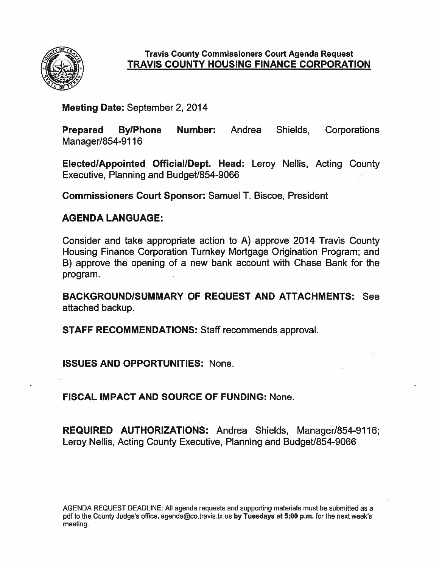

#### **Travis County Commissioners Court Agenda Request TRAVIS COUNTY HOUSING FINANCE CORPORATION**

Meeting Date: September 2, 2014

**Prepared By/Phone** Number: Andrea Shields, Corporations Manager/854-9116

Elected/Appointed Official/Dept. Head: Leroy Nellis, Acting County Executive, Planning and Budget/854-9066

**Commissioners Court Sponsor: Samuel T. Biscoe, President** 

#### **AGENDA LANGUAGE:**

Consider and take appropriate action to A) approve 2014 Travis County Housing Finance Corporation Turnkey Mortgage Origination Program; and B) approve the opening of a new bank account with Chase Bank for the program.

**BACKGROUND/SUMMARY OF REQUEST AND ATTACHMENTS: See** attached backup.

**STAFF RECOMMENDATIONS: Staff recommends approval.** 

**ISSUES AND OPPORTUNITIES: None.** 

**FISCAL IMPACT AND SOURCE OF FUNDING: None.** 

**REQUIRED AUTHORIZATIONS: Andrea Shields, Manager/854-9116;** Leroy Nellis, Acting County Executive, Planning and Budget/854-9066

AGENDA REQUEST DEADLINE: All agenda requests and supporting materials must be submitted as a pdf to the County Judge's office, agenda@co.travis.tx.us by Tuesdays at 5:00 p.m. for the next week's meeting.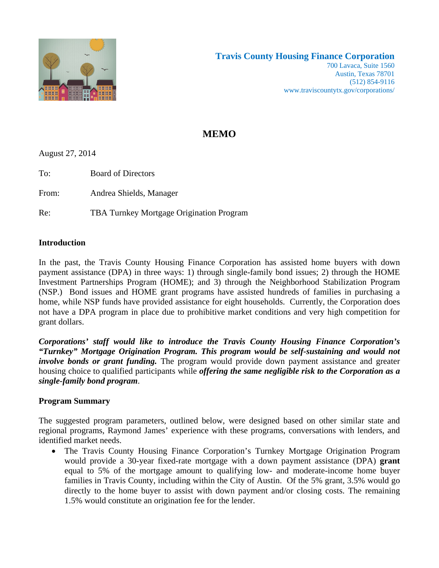

### **MEMO**

August 27, 2014

To: Board of Directors

From: Andrea Shields, Manager

Re: TBA Turnkey Mortgage Origination Program

#### **Introduction**

In the past, the Travis County Housing Finance Corporation has assisted home buyers with down payment assistance (DPA) in three ways: 1) through single-family bond issues; 2) through the HOME Investment Partnerships Program (HOME); and 3) through the Neighborhood Stabilization Program (NSP.) Bond issues and HOME grant programs have assisted hundreds of families in purchasing a home, while NSP funds have provided assistance for eight households. Currently, the Corporation does not have a DPA program in place due to prohibitive market conditions and very high competition for grant dollars.

*Corporations' staff would like to introduce the Travis County Housing Finance Corporation's "Turnkey" Mortgage Origination Program. This program would be self-sustaining and would not involve bonds or grant funding*. The program would provide down payment assistance and greater housing choice to qualified participants while *offering the same negligible risk to the Corporation as a single-family bond program*.

#### **Program Summary**

The suggested program parameters, outlined below, were designed based on other similar state and regional programs, Raymond James' experience with these programs, conversations with lenders, and identified market needs.

 The Travis County Housing Finance Corporation's Turnkey Mortgage Origination Program would provide a 30-year fixed-rate mortgage with a down payment assistance (DPA) **grant** equal to 5% of the mortgage amount to qualifying low- and moderate-income home buyer families in Travis County, including within the City of Austin. Of the 5% grant, 3.5% would go directly to the home buyer to assist with down payment and/or closing costs. The remaining 1.5% would constitute an origination fee for the lender.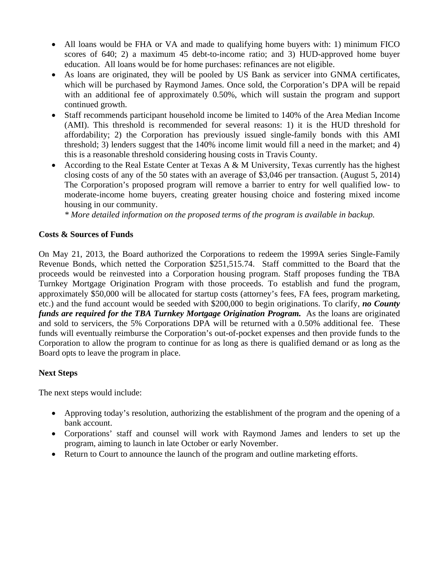- All loans would be FHA or VA and made to qualifying home buyers with: 1) minimum FICO scores of 640; 2) a maximum 45 debt-to-income ratio; and 3) HUD-approved home buyer education. All loans would be for home purchases: refinances are not eligible.
- As loans are originated, they will be pooled by US Bank as servicer into GNMA certificates, which will be purchased by Raymond James. Once sold, the Corporation's DPA will be repaid with an additional fee of approximately 0.50%, which will sustain the program and support continued growth.
- Staff recommends participant household income be limited to 140% of the Area Median Income (AMI). This threshold is recommended for several reasons: 1) it is the HUD threshold for affordability; 2) the Corporation has previously issued single-family bonds with this AMI threshold; 3) lenders suggest that the 140% income limit would fill a need in the market; and 4) this is a reasonable threshold considering housing costs in Travis County.
- According to the Real Estate Center at Texas A & M University, Texas currently has the highest closing costs of any of the 50 states with an average of \$3,046 per transaction. (August 5, 2014) The Corporation's proposed program will remove a barrier to entry for well qualified low- to moderate-income home buyers, creating greater housing choice and fostering mixed income housing in our community.

*\* More detailed information on the proposed terms of the program is available in backup.* 

#### **Costs & Sources of Funds**

On May 21, 2013, the Board authorized the Corporations to redeem the 1999A series Single-Family Revenue Bonds, which netted the Corporation \$251,515.74. Staff committed to the Board that the proceeds would be reinvested into a Corporation housing program. Staff proposes funding the TBA Turnkey Mortgage Origination Program with those proceeds. To establish and fund the program, approximately \$50,000 will be allocated for startup costs (attorney's fees, FA fees, program marketing, etc.) and the fund account would be seeded with \$200,000 to begin originations. To clarify, *no County funds are required for the TBA Turnkey Mortgage Origination Program.* As the loans are originated and sold to servicers, the 5% Corporations DPA will be returned with a 0.50% additional fee. These funds will eventually reimburse the Corporation's out-of-pocket expenses and then provide funds to the Corporation to allow the program to continue for as long as there is qualified demand or as long as the Board opts to leave the program in place.

#### **Next Steps**

The next steps would include:

- Approving today's resolution, authorizing the establishment of the program and the opening of a bank account.
- Corporations' staff and counsel will work with Raymond James and lenders to set up the program, aiming to launch in late October or early November.
- Return to Court to announce the launch of the program and outline marketing efforts.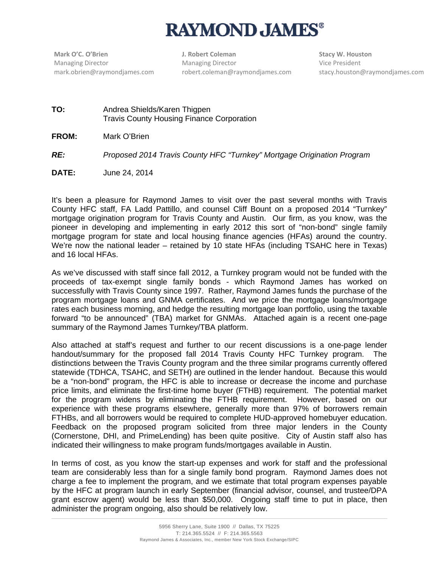# **RAYMOND JAMES®**

 Managing Director mark.obrien@raymondjames.com **Mark O'C. O'Brien**

**J. Robert Coleman** Managing Director robert.coleman@raymondjames.com **Stacy W. Houston** Vice President stacy.houston@raymondjames.com

- **TO:** Andrea Shields/Karen Thigpen Travis County Housing Finance Corporation
- **FROM:** Mark O'Brien

*RE: Proposed 2014 Travis County HFC "Turnkey" Mortgage Origination Program* 

**DATE:** June 24, 2014

It's been a pleasure for Raymond James to visit over the past several months with Travis County HFC staff, FA Ladd Pattillo, and counsel Cliff Bount on a proposed 2014 "Turnkey" mortgage origination program for Travis County and Austin. Our firm, as you know, was the pioneer in developing and implementing in early 2012 this sort of "non-bond" single family mortgage program for state and local housing finance agencies (HFAs) around the country. We're now the national leader – retained by 10 state HFAs (including TSAHC here in Texas) and 16 local HFAs.

As we've discussed with staff since fall 2012, a Turnkey program would not be funded with the proceeds of tax-exempt single family bonds - which Raymond James has worked on successfully with Travis County since 1997. Rather, Raymond James funds the purchase of the program mortgage loans and GNMA certificates. And we price the mortgage loans/mortgage rates each business morning, and hedge the resulting mortgage loan portfolio, using the taxable forward "to be announced" (TBA) market for GNMAs. Attached again is a recent one-page summary of the Raymond James Turnkey/TBA platform.

Also attached at staff's request and further to our recent discussions is a one-page lender handout/summary for the proposed fall 2014 Travis County HFC Turnkey program. The distinctions between the Travis County program and the three similar programs currently offered statewide (TDHCA, TSAHC, and SETH) are outlined in the lender handout. Because this would be a "non-bond" program, the HFC is able to increase or decrease the income and purchase price limits, and eliminate the first-time home buyer (FTHB) requirement. The potential market for the program widens by eliminating the FTHB requirement. However, based on our experience with these programs elsewhere, generally more than 97% of borrowers remain FTHBs, and all borrowers would be required to complete HUD-approved homebuyer education. Feedback on the proposed program solicited from three major lenders in the County (Cornerstone, DHI, and PrimeLending) has been quite positive. City of Austin staff also has indicated their willingness to make program funds/mortgages available in Austin.

In terms of cost, as you know the start-up expenses and work for staff and the professional team are considerably less than for a single family bond program. Raymond James does not charge a fee to implement the program, and we estimate that total program expenses payable by the HFC at program launch in early September (financial advisor, counsel, and trustee/DPA grant escrow agent) would be less than \$50,000. Ongoing staff time to put in place, then administer the program ongoing, also should be relatively low.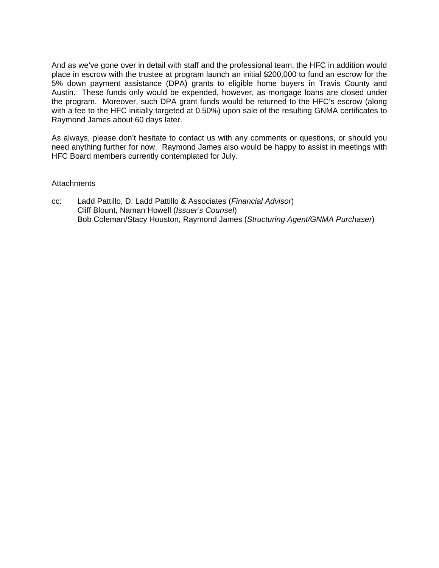And as we've gone over in detail with staff and the professional team, the HFC in addition would place in escrow with the trustee at program launch an initial \$200,000 to fund an escrow for the 5% down payment assistance (DPA) grants to eligible home buyers in Travis County and Austin. These funds only would be expended, however, as mortgage loans are closed under the program. Moreover, such DPA grant funds would be returned to the HFC's escrow (along with a fee to the HFC initially targeted at 0.50%) upon sale of the resulting GNMA certificates to Raymond James about 60 days later.

As always, please don't hesitate to contact us with any comments or questions, or should you need anything further for now. Raymond James also would be happy to assist in meetings with HFC Board members currently contemplated for July.

#### Attachments

cc: Ladd Pattillo, D. Ladd Pattillo & Associates (*Financial Advisor*) Cliff Blount, Naman Howell (*Issuer's Counsel*) Bob Coleman/Stacy Houston, Raymond James (*Structuring Agent/GNMA Purchaser*)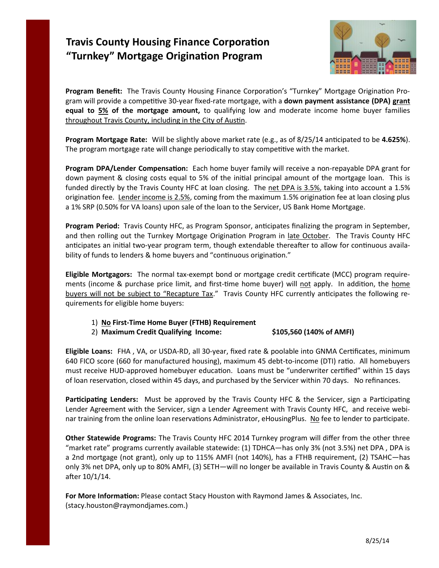## **Travis County Housing Finance Corporation "Turnkey" Mortgage Origination Program**



**Program Benefit:** The Travis County Housing Finance Corporation's "Turnkey" Mortgage Origination Program will provide a competitive 30-year fixed-rate mortgage, with a **down payment assistance (DPA) grant equal to 5% of the mortgage amount,** to qualifying low and moderate income home buyer families throughout Travis County, including in the City of Austin.

**Program Mortgage Rate:** Will be slightly above market rate (e.g., as of 8/25/14 anticipated to be **4.625%**). The program mortgage rate will change periodically to stay competitive with the market.

**Program DPA/Lender Compensation:** Each home buyer family will receive a non-repayable DPA grant for down payment & closing costs equal to 5% of the initial principal amount of the mortgage loan. This is funded directly by the Travis County HFC at loan closing. The net DPA is 3.5%, taking into account a 1.5% origination fee. Lender income is 2.5%, coming from the maximum 1.5% origination fee at loan closing plus a 1% SRP (0.50% for VA loans) upon sale of the loan to the Servicer, US Bank Home Mortgage.

**Program Period:** Travis County HFC, as Program Sponsor, anticipates finalizing the program in September, and then rolling out the Turnkey Mortgage Origination Program in late October. The Travis County HFC anticipates an initial two-year program term, though extendable thereafter to allow for continuous availability of funds to lenders & home buyers and "continuous origination."

**Eligible Mortgagors:** The normal tax-exempt bond or mortgage credit certificate (MCC) program requirements (income & purchase price limit, and first-time home buyer) will not apply. In addition, the home buyers will not be subject to "Recapture Tax." Travis County HFC currently anticipates the following requirements for eligible home buyers:

#### 1) **No First-Time Home Buyer (FTHB) Requirement**

#### 2) **Maximum Credit Qualifying Income: \$105,560 (140% of AMFI)**

**Eligible Loans:** FHA , VA, or USDA-RD, all 30-year, fixed rate & poolable into GNMA Certificates, minimum 640 FICO score (660 for manufactured housing), maximum 45 debt-to-income (DTI) ratio. All homebuyers must receive HUD-approved homebuyer education. Loans must be "underwriter certified" within 15 days of loan reservation, closed within 45 days, and purchased by the Servicer within 70 days. No refinances.

**Participating Lenders:** Must be approved by the Travis County HFC & the Servicer, sign a Participating Lender Agreement with the Servicer, sign a Lender Agreement with Travis County HFC, and receive webinar training from the online loan reservations Administrator, eHousingPlus. No fee to lender to participate.

**Other Statewide Programs:** The Travis County HFC 2014 Turnkey program will differ from the other three "market rate" programs currently available statewide: (1) TDHCA—has only 3% (not 3.5%) net DPA , DPA is a 2nd mortgage (not grant), only up to 115% AMFI (not 140%), has a FTHB requirement, (2) TSAHC—has only 3% net DPA, only up to 80% AMFI, (3) SETH—will no longer be available in Travis County & Austin on & after 10/1/14.

**For More Information:** Please contact Stacy Houston with Raymond James & Associates, Inc. (stacy.houston@raymondjames.com.)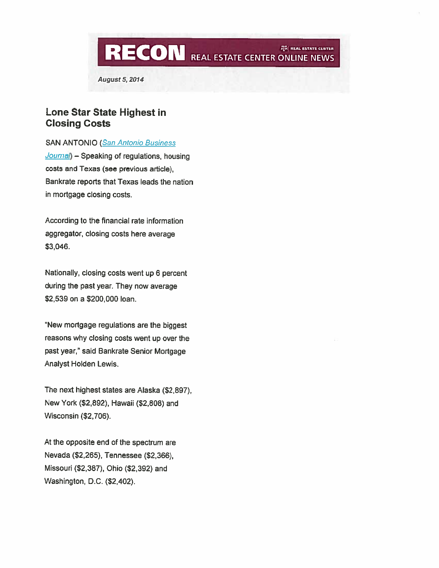**RECON** REAL ESTATE CENTER ONLINE NEWS AM REAL ESTATE CENTER

**August 5, 2014** 

#### Lone Star State Highest in **Closing Costs**

**SAN ANTONIO (San Antonio Business)** 

Journal) - Speaking of regulations, housing costs and Texas (see previous article), Bankrate reports that Texas leads the nation in mortgage closing costs.

According to the financial rate information aggregator, closing costs here average \$3,046.

Nationally, closing costs went up 6 percent during the past year. They now average \$2,539 on a \$200,000 loan.

"New mortgage regulations are the biggest reasons why closing costs went up over the past year," said Bankrate Senior Mortgage Analyst Holden Lewis.

The next highest states are Alaska (\$2,897), New York (\$2,892), Hawaii (\$2,808) and Wisconsin (\$2,706).

At the opposite end of the spectrum are Nevada (\$2,265), Tennessee (\$2,366), Missouri (\$2,387), Ohio (\$2,392) and Washington, D.C. (\$2,402).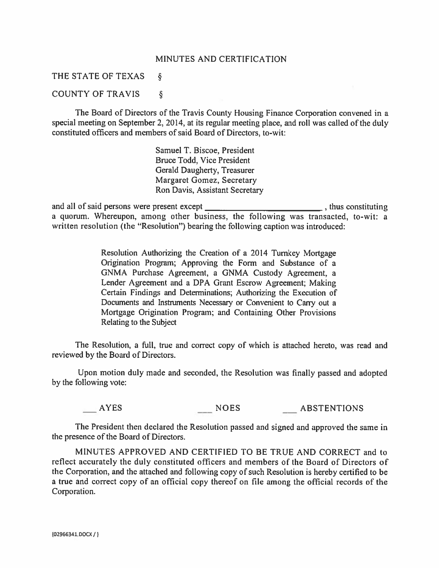#### MINUTES AND CERTIFICATION

#### THE STATE OF TEXAS  $\S$

#### **COUNTY OF TRAVIS**  $\S$

The Board of Directors of the Travis County Housing Finance Corporation convened in a special meeting on September 2, 2014, at its regular meeting place, and roll was called of the duly constituted officers and members of said Board of Directors, to-wit:

> Samuel T. Biscoe, President Bruce Todd, Vice President Gerald Daugherty, Treasurer Margaret Gomez, Secretary Ron Davis, Assistant Secretary

thus constituting and all of said persons were present except a quorum. Whereupon, among other business, the following was transacted, to-wit: a written resolution (the "Resolution") bearing the following caption was introduced:

> Resolution Authorizing the Creation of a 2014 Turnkey Mortgage Origination Program; Approving the Form and Substance of a GNMA Purchase Agreement, a GNMA Custody Agreement, a Lender Agreement and a DPA Grant Escrow Agreement; Making Certain Findings and Determinations; Authorizing the Execution of Documents and Instruments Necessary or Convenient to Carry out a Mortgage Origination Program; and Containing Other Provisions Relating to the Subject

The Resolution, a full, true and correct copy of which is attached hereto, was read and reviewed by the Board of Directors.

Upon motion duly made and seconded, the Resolution was finally passed and adopted by the following vote:

AYES NOES ABSTENTIONS

The President then declared the Resolution passed and signed and approved the same in the presence of the Board of Directors.

MINUTES APPROVED AND CERTIFIED TO BE TRUE AND CORRECT and to reflect accurately the duly constituted officers and members of the Board of Directors of the Corporation, and the attached and following copy of such Resolution is hereby certified to be a true and correct copy of an official copy thereof on file among the official records of the Corporation.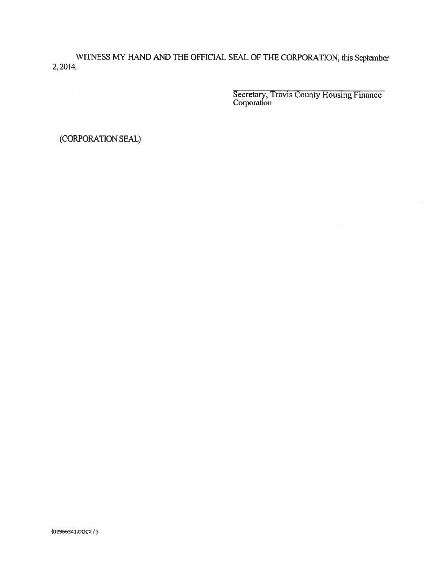WITNESS MY HAND AND THE OFFICIAL SEAL OF THE CORPORATION, this September 2, 2014.

Secretary, Travis County Housing Finance<br>Corporation

(CORPORATION SEAL)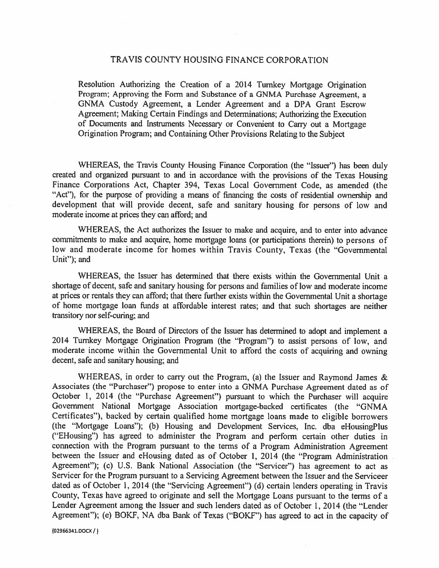#### TRAVIS COUNTY HOUSING FINANCE CORPORATION

Resolution Authorizing the Creation of a 2014 Turnkey Mortgage Origination Program; Approving the Form and Substance of a GNMA Purchase Agreement, a GNMA Custody Agreement, a Lender Agreement and a DPA Grant Escrow Agreement: Making Certain Findings and Determinations; Authorizing the Execution of Documents and Instruments Necessary or Convenient to Carry out a Mortgage Origination Program; and Containing Other Provisions Relating to the Subject

WHEREAS, the Travis County Housing Finance Corporation (the "Issuer") has been duly created and organized pursuant to and in accordance with the provisions of the Texas Housing Finance Corporations Act, Chapter 394, Texas Local Government Code, as amended (the "Act"), for the purpose of providing a means of financing the costs of residential ownership and development that will provide decent, safe and sanitary housing for persons of low and moderate income at prices they can afford; and

WHEREAS, the Act authorizes the Issuer to make and acquire, and to enter into advance commitments to make and acquire, home mortgage loans (or participations therein) to persons of low and moderate income for homes within Travis County, Texas (the "Governmental Unit"); and

WHEREAS, the Issuer has determined that there exists within the Governmental Unit a shortage of decent, safe and sanitary housing for persons and families of low and moderate income at prices or rentals they can afford; that there further exists within the Governmental Unit a shortage of home mortgage loan funds at affordable interest rates; and that such shortages are neither transitory nor self-curing; and

WHEREAS, the Board of Directors of the Issuer has determined to adopt and implement a 2014 Turnkey Mortgage Origination Program (the "Program") to assist persons of low, and moderate income within the Governmental Unit to afford the costs of acquiring and owning decent, safe and sanitary housing; and

WHEREAS, in order to carry out the Program, (a) the Issuer and Raymond James & Associates (the "Purchaser") propose to enter into a GNMA Purchase Agreement dated as of October 1, 2014 (the "Purchase Agreement") pursuant to which the Purchaser will acquire Government National Mortgage Association mortgage-backed certificates (the "GNMA Certificates"), backed by certain qualified home mortgage loans made to eligible borrowers (the "Mortgage Loans"); (b) Housing and Development Services, Inc. dba eHousingPlus ("EHousing") has agreed to administer the Program and perform certain other duties in connection with the Program pursuant to the terms of a Program Administration Agreement between the Issuer and eHousing dated as of October 1, 2014 (the "Program Administration Agreement"); (c) U.S. Bank National Association (the "Servicer") has agreement to act as Servicer for the Program pursuant to a Servicing Agreement between the Issuer and the Serviceer dated as of October 1, 2014 (the "Servicing Agreement") (d) certain lenders operating in Travis County, Texas have agreed to originate and sell the Mortgage Loans pursuant to the terms of a Lender Agreement among the Issuer and such lenders dated as of October 1, 2014 (the "Lender Agreement"); (e) BOKF, NA dba Bank of Texas ("BOKF") has agreed to act in the capacity of

(02966341.DOCX / )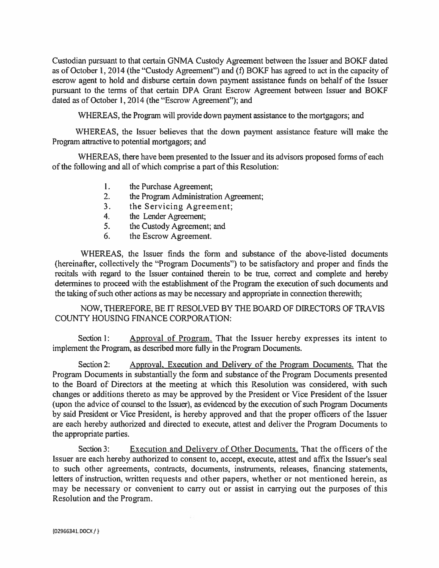Custodian pursuant to that certain GNMA Custody Agreement between the Issuer and BOKF dated as of October 1, 2014 (the "Custody Agreement") and (f) BOKF has agreed to act in the capacity of escrow agent to hold and disburse certain down payment assistance funds on behalf of the Issuer pursuant to the terms of that certain DPA Grant Escrow Agreement between Issuer and BOKF dated as of October 1, 2014 (the "Escrow Agreement"); and

WHEREAS, the Program will provide down payment assistance to the mortgagors; and

WHEREAS, the Issuer believes that the down payment assistance feature will make the Program attractive to potential mortgagors; and

WHEREAS, there have been presented to the Issuer and its advisors proposed forms of each of the following and all of which comprise a part of this Resolution:

- 1. the Purchase Agreement;
- $2.$ the Program Administration Agreement;
- the Servicing Agreement:  $3<sub>1</sub>$
- the Lender Agreement;  $\overline{4}$
- the Custody Agreement; and  $5<sub>1</sub>$
- the Escrow Agreement. 6.

WHEREAS, the Issuer finds the form and substance of the above-listed documents (hereinafter, collectively the "Program Documents") to be satisfactory and proper and finds the recitals with regard to the Issuer contained therein to be true, correct and complete and hereby determines to proceed with the establishment of the Program the execution of such documents and the taking of such other actions as may be necessary and appropriate in connection therewith;

NOW, THEREFORE, BE IT RESOLVED BY THE BOARD OF DIRECTORS OF TRAVIS **COUNTY HOUSING FINANCE CORPORATION:** 

Section 1: Approval of Program. That the Issuer hereby expresses its intent to implement the Program, as described more fully in the Program Documents.

Section 2: Approval, Execution and Delivery of the Program Documents. That the Program Documents in substantially the form and substance of the Program Documents presented to the Board of Directors at the meeting at which this Resolution was considered, with such changes or additions thereto as may be approved by the President or Vice President of the Issuer (upon the advice of counsel to the Issuer), as evidenced by the execution of such Program Documents by said President or Vice President, is hereby approved and that the proper officers of the Issuer are each hereby authorized and directed to execute, attest and deliver the Program Documents to the appropriate parties.

Section 3: **Execution and Delivery of Other Documents.** That the officers of the Issuer are each hereby authorized to consent to, accept, execute, attest and affix the Issuer's seal to such other agreements, contracts, documents, instruments, releases, financing statements, letters of instruction, written requests and other papers, whether or not mentioned herein, as may be necessary or convenient to carry out or assist in carrying out the purposes of this Resolution and the Program.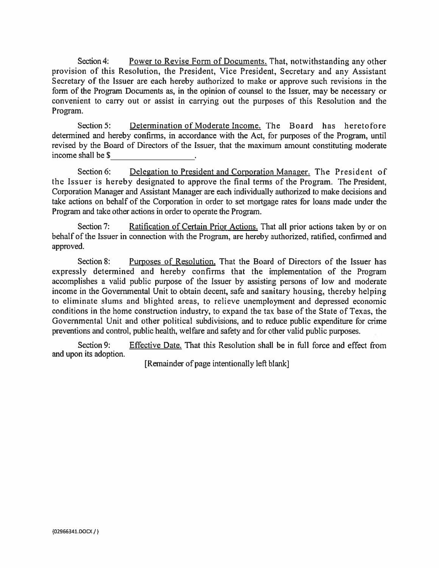Section 4: Power to Revise Form of Documents. That, notwithstanding any other provision of this Resolution, the President, Vice President, Secretary and any Assistant Secretary of the Issuer are each hereby authorized to make or approve such revisions in the form of the Program Documents as, in the opinion of counsel to the Issuer, may be necessary or convenient to carry out or assist in carrying out the purposes of this Resolution and the Program.

Section 5: Determination of Moderate Income. The Board has heretofore determined and hereby confirms, in accordance with the Act, for purposes of the Program, until revised by the Board of Directors of the Issuer, that the maximum amount constituting moderate income shall be \$

Delegation to President and Corporation Manager. The President of Section 6: the Issuer is hereby designated to approve the final terms of the Program. The President, Corporation Manager and Assistant Manager are each individually authorized to make decisions and take actions on behalf of the Corporation in order to set mortgage rates for loans made under the Program and take other actions in order to operate the Program.

Section 7: Ratification of Certain Prior Actions. That all prior actions taken by or on behalf of the Issuer in connection with the Program, are hereby authorized, ratified, confirmed and approved.

Section 8: Purposes of Resolution, That the Board of Directors of the Issuer has expressly determined and hereby confirms that the implementation of the Program accomplishes a valid public purpose of the Issuer by assisting persons of low and moderate income in the Governmental Unit to obtain decent, safe and sanitary housing, thereby helping to eliminate slums and blighted areas, to relieve unemployment and depressed economic conditions in the home construction industry, to expand the tax base of the State of Texas, the Governmental Unit and other political subdivisions, and to reduce public expenditure for crime preventions and control, public health, welfare and safety and for other valid public purposes.

Section 9: **Effective Date.** That this Resolution shall be in full force and effect from and upon its adoption.

[Remainder of page intentionally left blank]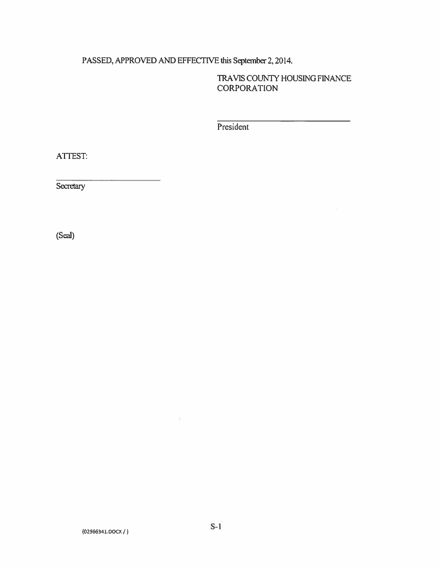### PASSED, APPROVED AND EFFECTIVE this September 2, 2014.

TRAVIS COUNTY HOUSING FINANCE **CORPORATION** 

President

ATTEST:

Secretary

(Seal)

 $\langle \hat{a} \rangle$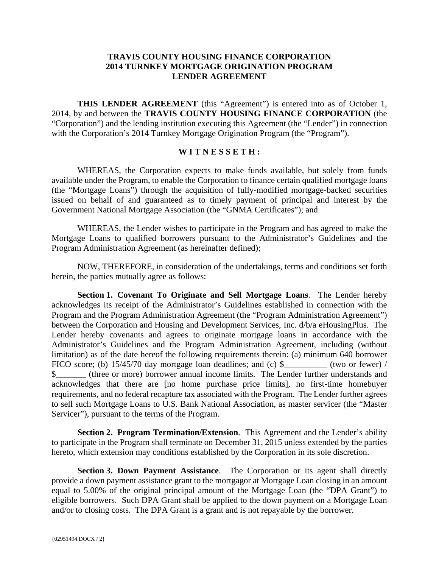#### **TRAVIS COUNTY HOUSING FINANCE CORPORATION 2014 TURNKEY MORTGAGE ORIGINATION PROGRAM LENDER AGREEMENT**

**THIS LENDER AGREEMENT** (this "Agreement") is entered into as of October 1, 2014, by and between the **TRAVIS COUNTY HOUSING FINANCE CORPORATION** (the "Corporation") and the lending institution executing this Agreement (the "Lender") in connection with the Corporation's 2014 Turnkey Mortgage Origination Program (the "Program").

#### **W I T N E S S E T H :**

WHEREAS, the Corporation expects to make funds available, but solely from funds available under the Program, to enable the Corporation to finance certain qualified mortgage loans (the "Mortgage Loans") through the acquisition of fully-modified mortgage-backed securities issued on behalf of and guaranteed as to timely payment of principal and interest by the Government National Mortgage Association (the "GNMA Certificates"); and

WHEREAS, the Lender wishes to participate in the Program and has agreed to make the Mortgage Loans to qualified borrowers pursuant to the Administrator's Guidelines and the Program Administration Agreement (as hereinafter defined);

NOW, THEREFORE, in consideration of the undertakings, terms and conditions set forth herein, the parties mutually agree as follows:

**Section 1. Covenant To Originate and Sell Mortgage Loans**. The Lender hereby acknowledges its receipt of the Administrator's Guidelines established in connection with the Program and the Program Administration Agreement (the "Program Administration Agreement") between the Corporation and Housing and Development Services, Inc. d/b/a eHousingPlus. The Lender hereby covenants and agrees to originate mortgage loans in accordance with the Administrator's Guidelines and the Program Administration Agreement, including (without limitation) as of the date hereof the following requirements therein: (a) minimum 640 borrower FICO score; (b) 15/45/70 day mortgage loan deadlines; and (c) \$\_\_\_\_\_\_\_\_\_\_\_\_ (two or fewer) / \$\_\_\_\_\_\_\_ (three or more) borrower annual income limits. The Lender further understands and acknowledges that there are [no home purchase price limits], no first-time homebuyer requirements, and no federal recapture tax associated with the Program. The Lender further agrees to sell such Mortgage Loans to U.S. Bank National Association, as master servicer (the "Master Servicer"), pursuant to the terms of the Program.

**Section 2. Program Termination/Extension**. This Agreement and the Lender's ability to participate in the Program shall terminate on December 31, 2015 unless extended by the parties hereto, which extension may conditions established by the Corporation in its sole discretion.

**Section 3. Down Payment Assistance**. The Corporation or its agent shall directly provide a down payment assistance grant to the mortgagor at Mortgage Loan closing in an amount equal to 5.00% of the original principal amount of the Mortgage Loan (the "DPA Grant") to eligible borrowers. Such DPA Grant shall be applied to the down payment on a Mortgage Loan and/or to closing costs. The DPA Grant is a grant and is not repayable by the borrower.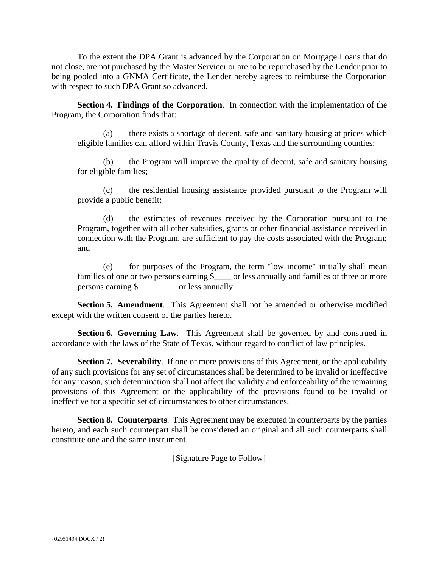To the extent the DPA Grant is advanced by the Corporation on Mortgage Loans that do not close, are not purchased by the Master Servicer or are to be repurchased by the Lender prior to being pooled into a GNMA Certificate, the Lender hereby agrees to reimburse the Corporation with respect to such DPA Grant so advanced.

**Section 4. Findings of the Corporation**. In connection with the implementation of the Program, the Corporation finds that:

(a) there exists a shortage of decent, safe and sanitary housing at prices which eligible families can afford within Travis County, Texas and the surrounding counties;

(b) the Program will improve the quality of decent, safe and sanitary housing for eligible families;

(c) the residential housing assistance provided pursuant to the Program will provide a public benefit;

(d) the estimates of revenues received by the Corporation pursuant to the Program, together with all other subsidies, grants or other financial assistance received in connection with the Program, are sufficient to pay the costs associated with the Program; and

(e) for purposes of the Program, the term "low income" initially shall mean families of one or two persons earning \$\_\_\_\_ or less annually and families of three or more persons earning \$\_\_\_\_\_\_\_\_\_ or less annually.

**Section 5. Amendment**. This Agreement shall not be amended or otherwise modified except with the written consent of the parties hereto.

**Section 6. Governing Law.** This Agreement shall be governed by and construed in accordance with the laws of the State of Texas, without regard to conflict of law principles.

**Section 7. Severability.** If one or more provisions of this Agreement, or the applicability of any such provisions for any set of circumstances shall be determined to be invalid or ineffective for any reason, such determination shall not affect the validity and enforceability of the remaining provisions of this Agreement or the applicability of the provisions found to be invalid or ineffective for a specific set of circumstances to other circumstances.

**Section 8. Counterparts**. This Agreement may be executed in counterparts by the parties hereto, and each such counterpart shall be considered an original and all such counterparts shall constitute one and the same instrument.

[Signature Page to Follow]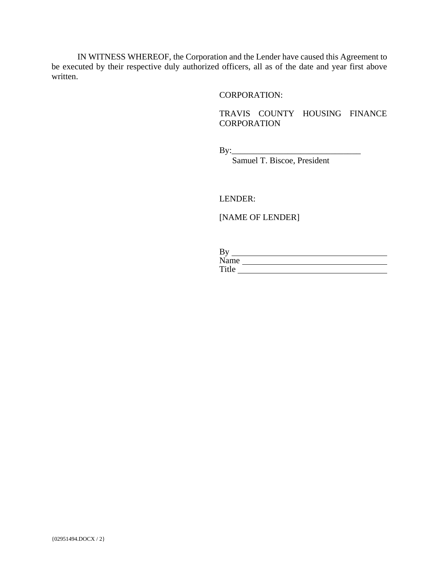IN WITNESS WHEREOF, the Corporation and the Lender have caused this Agreement to be executed by their respective duly authorized officers, all as of the date and year first above written.

#### CORPORATION:

 TRAVIS COUNTY HOUSING FINANCE **CORPORATION** 

By:\_\_\_\_\_\_\_\_\_\_\_\_\_\_\_\_\_\_\_\_\_\_\_\_\_\_\_\_\_\_

Samuel T. Biscoe, President

LENDER:

[NAME OF LENDER]

| By    |  |
|-------|--|
| Name  |  |
| Title |  |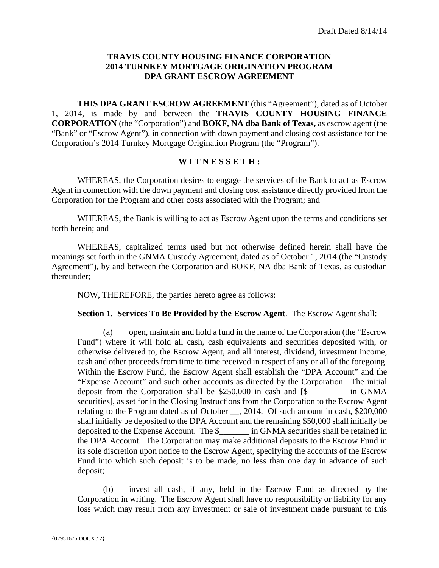#### **TRAVIS COUNTY HOUSING FINANCE CORPORATION 2014 TURNKEY MORTGAGE ORIGINATION PROGRAM DPA GRANT ESCROW AGREEMENT**

**THIS DPA GRANT ESCROW AGREEMENT** (this "Agreement"), dated as of October 1, 2014, is made by and between the **TRAVIS COUNTY HOUSING FINANCE CORPORATION** (the "Corporation") and **BOKF, NA dba Bank of Texas,** as escrow agent (the "Bank" or "Escrow Agent"), in connection with down payment and closing cost assistance for the Corporation's 2014 Turnkey Mortgage Origination Program (the "Program").

#### **W I T N E S S E T H :**

WHEREAS, the Corporation desires to engage the services of the Bank to act as Escrow Agent in connection with the down payment and closing cost assistance directly provided from the Corporation for the Program and other costs associated with the Program; and

WHEREAS, the Bank is willing to act as Escrow Agent upon the terms and conditions set forth herein; and

WHEREAS, capitalized terms used but not otherwise defined herein shall have the meanings set forth in the GNMA Custody Agreement, dated as of October 1, 2014 (the "Custody Agreement"), by and between the Corporation and BOKF, NA dba Bank of Texas, as custodian thereunder;

NOW, THEREFORE, the parties hereto agree as follows:

**Section 1. Services To Be Provided by the Escrow Agent**. The Escrow Agent shall:

(a) open, maintain and hold a fund in the name of the Corporation (the "Escrow Fund") where it will hold all cash, cash equivalents and securities deposited with, or otherwise delivered to, the Escrow Agent, and all interest, dividend, investment income, cash and other proceeds from time to time received in respect of any or all of the foregoing. Within the Escrow Fund, the Escrow Agent shall establish the "DPA Account" and the "Expense Account" and such other accounts as directed by the Corporation. The initial deposit from the Corporation shall be \$250,000 in cash and [\$\_\_\_\_\_\_\_\_\_ in GNMA securities], as set for in the Closing Instructions from the Corporation to the Escrow Agent relating to the Program dated as of October \_\_, 2014. Of such amount in cash, \$200,000 shall initially be deposited to the DPA Account and the remaining \$50,000 shall initially be deposited to the Expense Account. The \$\_\_\_\_\_\_\_ in GNMA securities shall be retained in the DPA Account. The Corporation may make additional deposits to the Escrow Fund in its sole discretion upon notice to the Escrow Agent, specifying the accounts of the Escrow Fund into which such deposit is to be made, no less than one day in advance of such deposit;

(b) invest all cash, if any, held in the Escrow Fund as directed by the Corporation in writing. The Escrow Agent shall have no responsibility or liability for any loss which may result from any investment or sale of investment made pursuant to this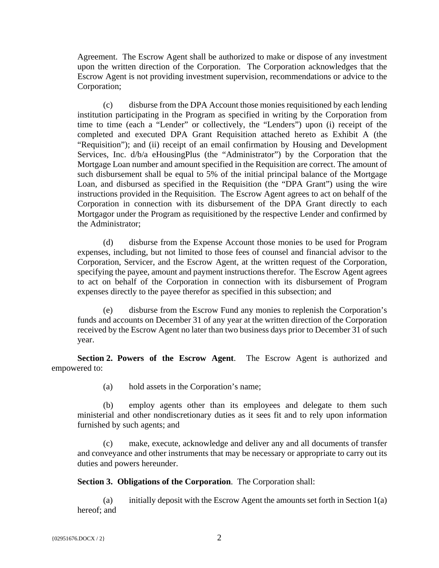Agreement. The Escrow Agent shall be authorized to make or dispose of any investment upon the written direction of the Corporation. The Corporation acknowledges that the Escrow Agent is not providing investment supervision, recommendations or advice to the Corporation;

(c) disburse from the DPA Account those monies requisitioned by each lending institution participating in the Program as specified in writing by the Corporation from time to time (each a "Lender" or collectively, the "Lenders") upon (i) receipt of the completed and executed DPA Grant Requisition attached hereto as Exhibit A (the "Requisition"); and (ii) receipt of an email confirmation by Housing and Development Services, Inc. d/b/a eHousingPlus (the "Administrator") by the Corporation that the Mortgage Loan number and amount specified in the Requisition are correct. The amount of such disbursement shall be equal to 5% of the initial principal balance of the Mortgage Loan, and disbursed as specified in the Requisition (the "DPA Grant") using the wire instructions provided in the Requisition. The Escrow Agent agrees to act on behalf of the Corporation in connection with its disbursement of the DPA Grant directly to each Mortgagor under the Program as requisitioned by the respective Lender and confirmed by the Administrator;

(d) disburse from the Expense Account those monies to be used for Program expenses, including, but not limited to those fees of counsel and financial advisor to the Corporation, Servicer, and the Escrow Agent, at the written request of the Corporation, specifying the payee, amount and payment instructions therefor. The Escrow Agent agrees to act on behalf of the Corporation in connection with its disbursement of Program expenses directly to the payee therefor as specified in this subsection; and

(e) disburse from the Escrow Fund any monies to replenish the Corporation's funds and accounts on December 31 of any year at the written direction of the Corporation received by the Escrow Agent no later than two business days prior to December 31 of such year.

**Section 2. Powers of the Escrow Agent**. The Escrow Agent is authorized and empowered to:

(a) hold assets in the Corporation's name;

(b) employ agents other than its employees and delegate to them such ministerial and other nondiscretionary duties as it sees fit and to rely upon information furnished by such agents; and

(c) make, execute, acknowledge and deliver any and all documents of transfer and conveyance and other instruments that may be necessary or appropriate to carry out its duties and powers hereunder.

**Section 3. Obligations of the Corporation**. The Corporation shall:

(a) initially deposit with the Escrow Agent the amounts set forth in Section  $1(a)$ hereof; and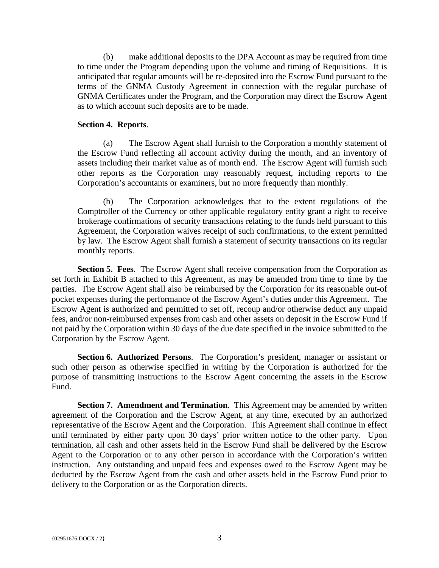(b) make additional deposits to the DPA Account as may be required from time to time under the Program depending upon the volume and timing of Requisitions. It is anticipated that regular amounts will be re-deposited into the Escrow Fund pursuant to the terms of the GNMA Custody Agreement in connection with the regular purchase of GNMA Certificates under the Program, and the Corporation may direct the Escrow Agent as to which account such deposits are to be made.

#### **Section 4. Reports**.

(a) The Escrow Agent shall furnish to the Corporation a monthly statement of the Escrow Fund reflecting all account activity during the month, and an inventory of assets including their market value as of month end. The Escrow Agent will furnish such other reports as the Corporation may reasonably request, including reports to the Corporation's accountants or examiners, but no more frequently than monthly.

(b) The Corporation acknowledges that to the extent regulations of the Comptroller of the Currency or other applicable regulatory entity grant a right to receive brokerage confirmations of security transactions relating to the funds held pursuant to this Agreement, the Corporation waives receipt of such confirmations, to the extent permitted by law. The Escrow Agent shall furnish a statement of security transactions on its regular monthly reports.

**Section 5. Fees**. The Escrow Agent shall receive compensation from the Corporation as set forth in Exhibit B attached to this Agreement, as may be amended from time to time by the parties. The Escrow Agent shall also be reimbursed by the Corporation for its reasonable out-of pocket expenses during the performance of the Escrow Agent's duties under this Agreement. The Escrow Agent is authorized and permitted to set off, recoup and/or otherwise deduct any unpaid fees, and/or non-reimbursed expenses from cash and other assets on deposit in the Escrow Fund if not paid by the Corporation within 30 days of the due date specified in the invoice submitted to the Corporation by the Escrow Agent.

**Section 6. Authorized Persons**. The Corporation's president, manager or assistant or such other person as otherwise specified in writing by the Corporation is authorized for the purpose of transmitting instructions to the Escrow Agent concerning the assets in the Escrow Fund.

**Section 7. Amendment and Termination**. This Agreement may be amended by written agreement of the Corporation and the Escrow Agent, at any time, executed by an authorized representative of the Escrow Agent and the Corporation. This Agreement shall continue in effect until terminated by either party upon 30 days' prior written notice to the other party. Upon termination, all cash and other assets held in the Escrow Fund shall be delivered by the Escrow Agent to the Corporation or to any other person in accordance with the Corporation's written instruction. Any outstanding and unpaid fees and expenses owed to the Escrow Agent may be deducted by the Escrow Agent from the cash and other assets held in the Escrow Fund prior to delivery to the Corporation or as the Corporation directs.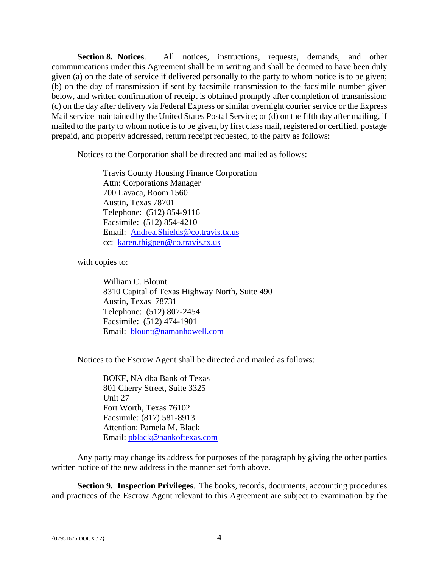**Section 8. Notices**. All notices, instructions, requests, demands, and other communications under this Agreement shall be in writing and shall be deemed to have been duly given (a) on the date of service if delivered personally to the party to whom notice is to be given; (b) on the day of transmission if sent by facsimile transmission to the facsimile number given below, and written confirmation of receipt is obtained promptly after completion of transmission; (c) on the day after delivery via Federal Express or similar overnight courier service or the Express Mail service maintained by the United States Postal Service; or (d) on the fifth day after mailing, if mailed to the party to whom notice is to be given, by first class mail, registered or certified, postage prepaid, and properly addressed, return receipt requested, to the party as follows:

Notices to the Corporation shall be directed and mailed as follows:

 Travis County Housing Finance Corporation Attn: Corporations Manager 700 Lavaca, Room 1560 Austin, Texas 78701 Telephone: (512) 854-9116 Facsimile: (512) 854-4210 Email: Andrea.Shields@co.travis.tx.us cc: karen.thigpen@co.travis.tx.us

with copies to:

William C. Blount 8310 Capital of Texas Highway North, Suite 490 Austin, Texas 78731 Telephone: (512) 807-2454 Facsimile: (512) 474-1901 Email: blount@namanhowell.com

Notices to the Escrow Agent shall be directed and mailed as follows:

BOKF, NA dba Bank of Texas 801 Cherry Street, Suite 3325 Unit 27 Fort Worth, Texas 76102 Facsimile: (817) 581-8913 Attention: Pamela M. Black Email: pblack@bankoftexas.com

Any party may change its address for purposes of the paragraph by giving the other parties written notice of the new address in the manner set forth above.

**Section 9. Inspection Privileges**. The books, records, documents, accounting procedures and practices of the Escrow Agent relevant to this Agreement are subject to examination by the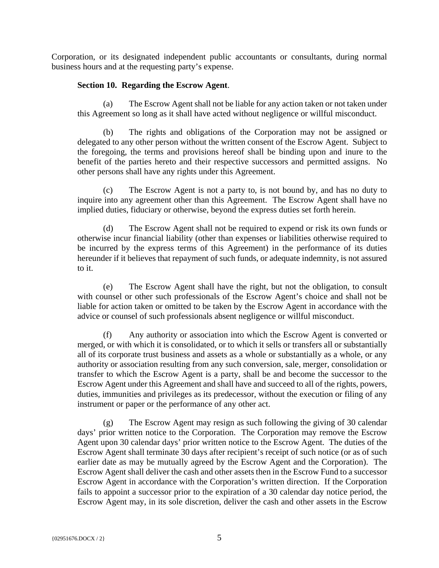Corporation, or its designated independent public accountants or consultants, during normal business hours and at the requesting party's expense.

#### **Section 10. Regarding the Escrow Agent**.

(a) The Escrow Agent shall not be liable for any action taken or not taken under this Agreement so long as it shall have acted without negligence or willful misconduct.

(b) The rights and obligations of the Corporation may not be assigned or delegated to any other person without the written consent of the Escrow Agent. Subject to the foregoing, the terms and provisions hereof shall be binding upon and inure to the benefit of the parties hereto and their respective successors and permitted assigns. No other persons shall have any rights under this Agreement.

(c) The Escrow Agent is not a party to, is not bound by, and has no duty to inquire into any agreement other than this Agreement. The Escrow Agent shall have no implied duties, fiduciary or otherwise, beyond the express duties set forth herein.

(d) The Escrow Agent shall not be required to expend or risk its own funds or otherwise incur financial liability (other than expenses or liabilities otherwise required to be incurred by the express terms of this Agreement) in the performance of its duties hereunder if it believes that repayment of such funds, or adequate indemnity, is not assured to it.

(e) The Escrow Agent shall have the right, but not the obligation, to consult with counsel or other such professionals of the Escrow Agent's choice and shall not be liable for action taken or omitted to be taken by the Escrow Agent in accordance with the advice or counsel of such professionals absent negligence or willful misconduct.

(f) Any authority or association into which the Escrow Agent is converted or merged, or with which it is consolidated, or to which it sells or transfers all or substantially all of its corporate trust business and assets as a whole or substantially as a whole, or any authority or association resulting from any such conversion, sale, merger, consolidation or transfer to which the Escrow Agent is a party, shall be and become the successor to the Escrow Agent under this Agreement and shall have and succeed to all of the rights, powers, duties, immunities and privileges as its predecessor, without the execution or filing of any instrument or paper or the performance of any other act.

(g) The Escrow Agent may resign as such following the giving of 30 calendar days' prior written notice to the Corporation. The Corporation may remove the Escrow Agent upon 30 calendar days' prior written notice to the Escrow Agent. The duties of the Escrow Agent shall terminate 30 days after recipient's receipt of such notice (or as of such earlier date as may be mutually agreed by the Escrow Agent and the Corporation). The Escrow Agent shall deliver the cash and other assets then in the Escrow Fund to a successor Escrow Agent in accordance with the Corporation's written direction. If the Corporation fails to appoint a successor prior to the expiration of a 30 calendar day notice period, the Escrow Agent may, in its sole discretion, deliver the cash and other assets in the Escrow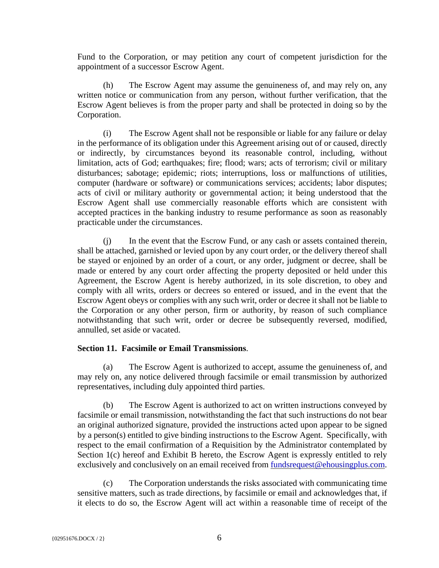Fund to the Corporation, or may petition any court of competent jurisdiction for the appointment of a successor Escrow Agent.

(h) The Escrow Agent may assume the genuineness of, and may rely on, any written notice or communication from any person, without further verification, that the Escrow Agent believes is from the proper party and shall be protected in doing so by the Corporation.

(i) The Escrow Agent shall not be responsible or liable for any failure or delay in the performance of its obligation under this Agreement arising out of or caused, directly or indirectly, by circumstances beyond its reasonable control, including, without limitation, acts of God; earthquakes; fire; flood; wars; acts of terrorism; civil or military disturbances; sabotage; epidemic; riots; interruptions, loss or malfunctions of utilities, computer (hardware or software) or communications services; accidents; labor disputes; acts of civil or military authority or governmental action; it being understood that the Escrow Agent shall use commercially reasonable efforts which are consistent with accepted practices in the banking industry to resume performance as soon as reasonably practicable under the circumstances.

(j) In the event that the Escrow Fund, or any cash or assets contained therein, shall be attached, garnished or levied upon by any court order, or the delivery thereof shall be stayed or enjoined by an order of a court, or any order, judgment or decree, shall be made or entered by any court order affecting the property deposited or held under this Agreement, the Escrow Agent is hereby authorized, in its sole discretion, to obey and comply with all writs, orders or decrees so entered or issued, and in the event that the Escrow Agent obeys or complies with any such writ, order or decree it shall not be liable to the Corporation or any other person, firm or authority, by reason of such compliance notwithstanding that such writ, order or decree be subsequently reversed, modified, annulled, set aside or vacated.

#### **Section 11. Facsimile or Email Transmissions**.

(a) The Escrow Agent is authorized to accept, assume the genuineness of, and may rely on, any notice delivered through facsimile or email transmission by authorized representatives, including duly appointed third parties.

(b) The Escrow Agent is authorized to act on written instructions conveyed by facsimile or email transmission, notwithstanding the fact that such instructions do not bear an original authorized signature, provided the instructions acted upon appear to be signed by a person(s) entitled to give binding instructions to the Escrow Agent. Specifically, with respect to the email confirmation of a Requisition by the Administrator contemplated by Section 1(c) hereof and Exhibit B hereto, the Escrow Agent is expressly entitled to rely exclusively and conclusively on an email received from fundsrequest@ehousingplus.com.

(c) The Corporation understands the risks associated with communicating time sensitive matters, such as trade directions, by facsimile or email and acknowledges that, if it elects to do so, the Escrow Agent will act within a reasonable time of receipt of the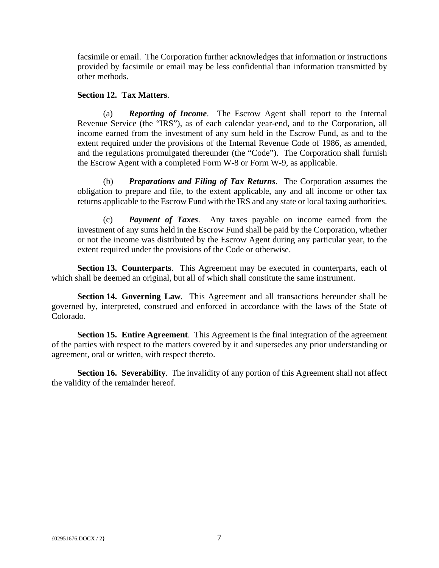facsimile or email. The Corporation further acknowledges that information or instructions provided by facsimile or email may be less confidential than information transmitted by other methods.

#### **Section 12. Tax Matters**.

(a) *Reporting of Income*. The Escrow Agent shall report to the Internal Revenue Service (the "IRS"), as of each calendar year-end, and to the Corporation, all income earned from the investment of any sum held in the Escrow Fund, as and to the extent required under the provisions of the Internal Revenue Code of 1986, as amended, and the regulations promulgated thereunder (the "Code"). The Corporation shall furnish the Escrow Agent with a completed Form W-8 or Form W-9, as applicable.

(b) *Preparations and Filing of Tax Returns*. The Corporation assumes the obligation to prepare and file, to the extent applicable, any and all income or other tax returns applicable to the Escrow Fund with the IRS and any state or local taxing authorities.

(c) *Payment of Taxes*. Any taxes payable on income earned from the investment of any sums held in the Escrow Fund shall be paid by the Corporation, whether or not the income was distributed by the Escrow Agent during any particular year, to the extent required under the provisions of the Code or otherwise.

**Section 13. Counterparts**. This Agreement may be executed in counterparts, each of which shall be deemed an original, but all of which shall constitute the same instrument.

**Section 14. Governing Law**. This Agreement and all transactions hereunder shall be governed by, interpreted, construed and enforced in accordance with the laws of the State of Colorado.

**Section 15. Entire Agreement**. This Agreement is the final integration of the agreement of the parties with respect to the matters covered by it and supersedes any prior understanding or agreement, oral or written, with respect thereto.

**Section 16. Severability.** The invalidity of any portion of this Agreement shall not affect the validity of the remainder hereof.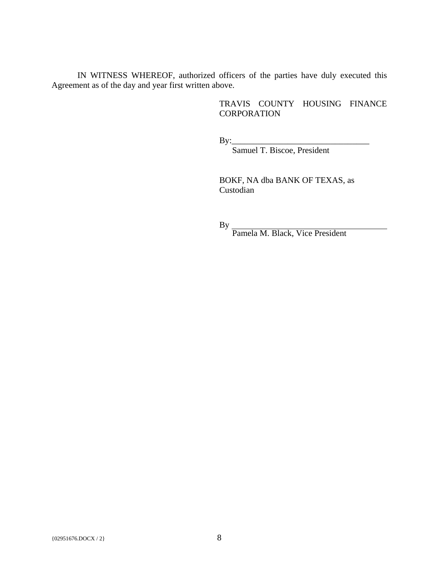IN WITNESS WHEREOF, authorized officers of the parties have duly executed this Agreement as of the day and year first written above.

#### TRAVIS COUNTY HOUSING FINANCE **CORPORATION**

By:\_\_\_\_\_\_\_\_\_\_\_\_\_\_\_\_\_\_\_\_\_\_\_\_\_\_\_\_\_\_\_\_

Samuel T. Biscoe, President

BOKF, NA dba BANK OF TEXAS, as Custodian

By

Pamela M. Black, Vice President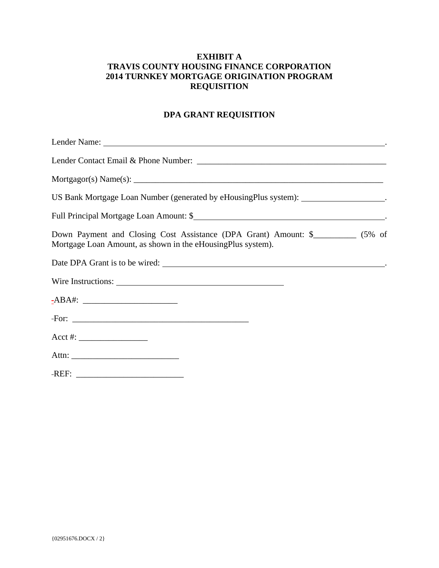#### **EXHIBIT A TRAVIS COUNTY HOUSING FINANCE CORPORATION 2014 TURNKEY MORTGAGE ORIGINATION PROGRAM REQUISITION**

#### **DPA GRANT REQUISITION**

| US Bank Mortgage Loan Number (generated by eHousingPlus system): ___________________.                                                            |  |
|--------------------------------------------------------------------------------------------------------------------------------------------------|--|
|                                                                                                                                                  |  |
| Down Payment and Closing Cost Assistance (DPA Grant) Amount: \$___________ (5% of<br>Mortgage Loan Amount, as shown in the eHousingPlus system). |  |
| Date DPA Grant is to be wired:                                                                                                                   |  |
| Wire Instructions:                                                                                                                               |  |
|                                                                                                                                                  |  |
|                                                                                                                                                  |  |
|                                                                                                                                                  |  |
|                                                                                                                                                  |  |
|                                                                                                                                                  |  |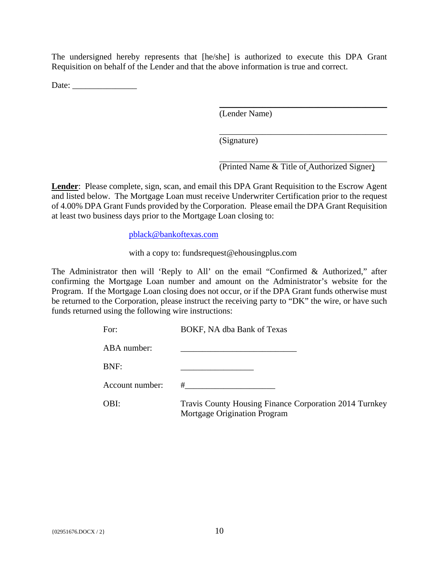The undersigned hereby represents that [he/she] is authorized to execute this DPA Grant Requisition on behalf of the Lender and that the above information is true and correct.

Date: \_\_\_\_\_\_\_\_\_\_\_\_\_\_\_

(Lender Name)

(Signature)

\_\_\_\_\_\_\_\_\_\_\_\_\_\_\_\_\_\_\_\_\_\_\_\_\_\_\_\_\_\_\_\_\_\_\_\_\_\_\_ (Printed Name & Title of Authorized Signer)

\_\_\_\_\_\_\_\_\_\_\_\_\_\_\_\_\_\_\_\_\_\_\_\_\_\_\_\_\_\_\_\_\_\_\_\_\_\_\_

\_\_\_\_\_\_\_\_\_\_\_\_\_\_\_\_\_\_\_\_\_\_\_\_\_\_\_\_\_\_\_\_\_\_\_\_\_\_\_

**Lender**: Please complete, sign, scan, and email this DPA Grant Requisition to the Escrow Agent and listed below. The Mortgage Loan must receive Underwriter Certification prior to the request of 4.00% DPA Grant Funds provided by the Corporation. Please email the DPA Grant Requisition at least two business days prior to the Mortgage Loan closing to:

pblack@bankoftexas.com

with a copy to: fundsrequest@ehousingplus.com

The Administrator then will 'Reply to All' on the email "Confirmed & Authorized," after confirming the Mortgage Loan number and amount on the Administrator's website for the Program. If the Mortgage Loan closing does not occur, or if the DPA Grant funds otherwise must be returned to the Corporation, please instruct the receiving party to "DK" the wire, or have such funds returned using the following wire instructions:

| For:            | BOKF, NA dba Bank of Texas                                                             |
|-----------------|----------------------------------------------------------------------------------------|
| ABA number:     |                                                                                        |
| BNF:            |                                                                                        |
| Account number: | #                                                                                      |
| OBI:            | Travis County Housing Finance Corporation 2014 Turnkey<br>Mortgage Origination Program |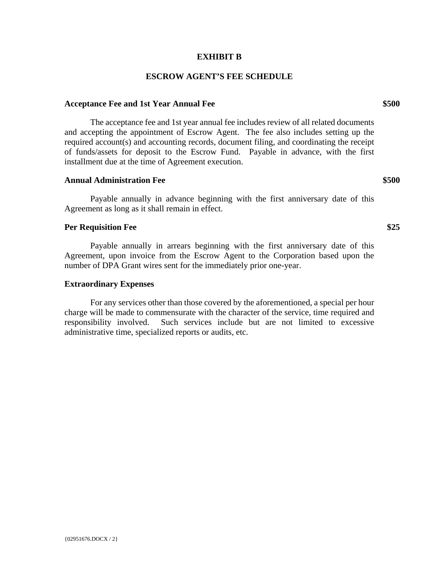#### **EXHIBIT B**

#### **ESCROW AGENT'S FEE SCHEDULE**

#### Acceptance Fee and 1st Year Annual Fee **\$500**

The acceptance fee and 1st year annual fee includes review of all related documents and accepting the appointment of Escrow Agent. The fee also includes setting up the required account(s) and accounting records, document filing, and coordinating the receipt of funds/assets for deposit to the Escrow Fund. Payable in advance, with the first installment due at the time of Agreement execution.

#### **Annual Administration Fee \$500**

Payable annually in advance beginning with the first anniversary date of this Agreement as long as it shall remain in effect.

#### **Per Requisition Fee** \$25

Payable annually in arrears beginning with the first anniversary date of this Agreement, upon invoice from the Escrow Agent to the Corporation based upon the number of DPA Grant wires sent for the immediately prior one-year.

#### **Extraordinary Expenses**

For any services other than those covered by the aforementioned, a special per hour charge will be made to commensurate with the character of the service, time required and responsibility involved. Such services include but are not limited to excessive administrative time, specialized reports or audits, etc.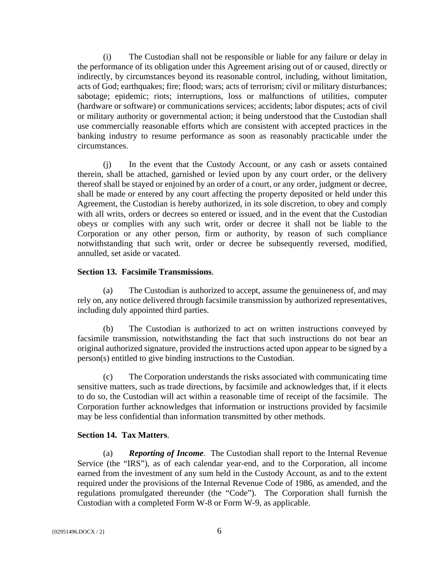(i) The Custodian shall not be responsible or liable for any failure or delay in the performance of its obligation under this Agreement arising out of or caused, directly or indirectly, by circumstances beyond its reasonable control, including, without limitation, acts of God; earthquakes; fire; flood; wars; acts of terrorism; civil or military disturbances; sabotage; epidemic; riots; interruptions, loss or malfunctions of utilities, computer (hardware or software) or communications services; accidents; labor disputes; acts of civil or military authority or governmental action; it being understood that the Custodian shall use commercially reasonable efforts which are consistent with accepted practices in the banking industry to resume performance as soon as reasonably practicable under the circumstances.

(j) In the event that the Custody Account, or any cash or assets contained therein, shall be attached, garnished or levied upon by any court order, or the delivery thereof shall be stayed or enjoined by an order of a court, or any order, judgment or decree, shall be made or entered by any court affecting the property deposited or held under this Agreement, the Custodian is hereby authorized, in its sole discretion, to obey and comply with all writs, orders or decrees so entered or issued, and in the event that the Custodian obeys or complies with any such writ, order or decree it shall not be liable to the Corporation or any other person, firm or authority, by reason of such compliance notwithstanding that such writ, order or decree be subsequently reversed, modified, annulled, set aside or vacated.

#### **Section 13. Facsimile Transmissions**.

(a) The Custodian is authorized to accept, assume the genuineness of, and may rely on, any notice delivered through facsimile transmission by authorized representatives, including duly appointed third parties.

(b) The Custodian is authorized to act on written instructions conveyed by facsimile transmission, notwithstanding the fact that such instructions do not bear an original authorized signature, provided the instructions acted upon appear to be signed by a person(s) entitled to give binding instructions to the Custodian.

(c) The Corporation understands the risks associated with communicating time sensitive matters, such as trade directions, by facsimile and acknowledges that, if it elects to do so, the Custodian will act within a reasonable time of receipt of the facsimile. The Corporation further acknowledges that information or instructions provided by facsimile may be less confidential than information transmitted by other methods.

#### **Section 14. Tax Matters**.

(a) *Reporting of Income*. The Custodian shall report to the Internal Revenue Service (the "IRS"), as of each calendar year-end, and to the Corporation, all income earned from the investment of any sum held in the Custody Account, as and to the extent required under the provisions of the Internal Revenue Code of 1986, as amended, and the regulations promulgated thereunder (the "Code"). The Corporation shall furnish the Custodian with a completed Form W-8 or Form W-9, as applicable.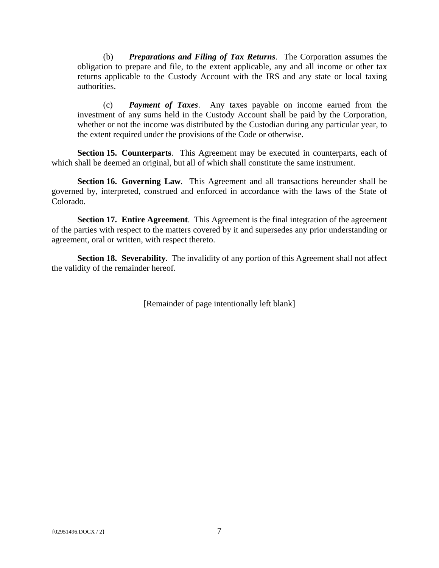(b) *Preparations and Filing of Tax Returns*. The Corporation assumes the obligation to prepare and file, to the extent applicable, any and all income or other tax returns applicable to the Custody Account with the IRS and any state or local taxing authorities.

(c) *Payment of Taxes*. Any taxes payable on income earned from the investment of any sums held in the Custody Account shall be paid by the Corporation, whether or not the income was distributed by the Custodian during any particular year, to the extent required under the provisions of the Code or otherwise.

**Section 15. Counterparts**. This Agreement may be executed in counterparts, each of which shall be deemed an original, but all of which shall constitute the same instrument.

**Section 16. Governing Law**. This Agreement and all transactions hereunder shall be governed by, interpreted, construed and enforced in accordance with the laws of the State of Colorado.

**Section 17. Entire Agreement**. This Agreement is the final integration of the agreement of the parties with respect to the matters covered by it and supersedes any prior understanding or agreement, oral or written, with respect thereto.

**Section 18. Severability.** The invalidity of any portion of this Agreement shall not affect the validity of the remainder hereof.

[Remainder of page intentionally left blank]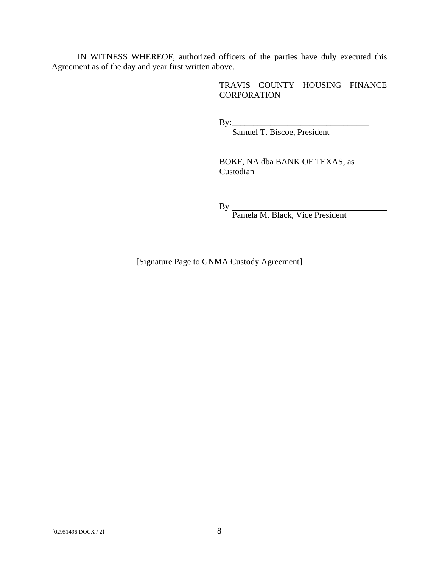IN WITNESS WHEREOF, authorized officers of the parties have duly executed this Agreement as of the day and year first written above.

> TRAVIS COUNTY HOUSING FINANCE **CORPORATION**

 $\rm\,By:\,$ 

Samuel T. Biscoe, President

BOKF, NA dba BANK OF TEXAS, as Custodian

By

Pamela M. Black, Vice President

[Signature Page to GNMA Custody Agreement]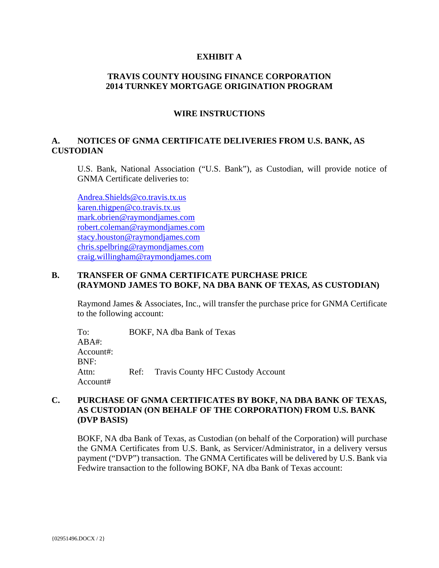#### **EXHIBIT A**

#### **TRAVIS COUNTY HOUSING FINANCE CORPORATION 2014 TURNKEY MORTGAGE ORIGINATION PROGRAM**

#### **WIRE INSTRUCTIONS**

#### **A. NOTICES OF GNMA CERTIFICATE DELIVERIES FROM U.S. BANK, AS CUSTODIAN**

U.S. Bank, National Association ("U.S. Bank"), as Custodian, will provide notice of GNMA Certificate deliveries to:

Andrea.Shields@co.travis.tx.us karen.thigpen@co.travis.tx.us mark.obrien@raymondjames.com robert.coleman@raymondjames.com stacy.houston@raymondjames.com chris.spelbring@raymondjames.com craig.willingham@raymondjames.com

#### **B. TRANSFER OF GNMA CERTIFICATE PURCHASE PRICE (RAYMOND JAMES TO BOKF, NA DBA BANK OF TEXAS, AS CUSTODIAN)**

Raymond James & Associates, Inc., will transfer the purchase price for GNMA Certificate to the following account:

To: BOKF, NA dba Bank of Texas  $ABA#$ : Account#: BNF: Attn: Ref: Travis County HFC Custody Account Account#

#### **C. PURCHASE OF GNMA CERTIFICATES BY BOKF, NA DBA BANK OF TEXAS, AS CUSTODIAN (ON BEHALF OF THE CORPORATION) FROM U.S. BANK (DVP BASIS)**

BOKF, NA dba Bank of Texas, as Custodian (on behalf of the Corporation) will purchase the GNMA Certificates from U.S. Bank, as Servicer/Administrator, in a delivery versus payment ("DVP") transaction. The GNMA Certificates will be delivered by U.S. Bank via Fedwire transaction to the following BOKF, NA dba Bank of Texas account: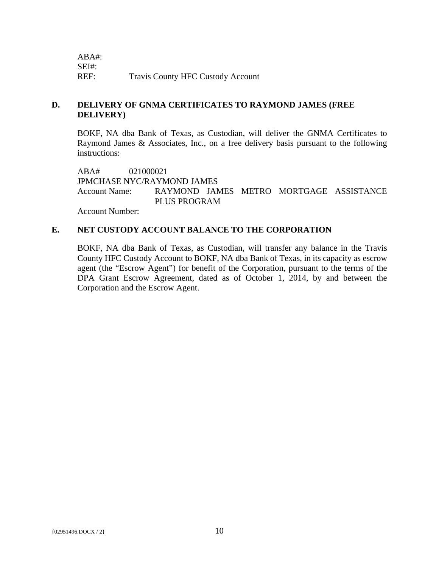| ABA#: |                                          |
|-------|------------------------------------------|
| SEI#: |                                          |
| REF:  | <b>Travis County HFC Custody Account</b> |

### **D. DELIVERY OF GNMA CERTIFICATES TO RAYMOND JAMES (FREE DELIVERY)**

BOKF, NA dba Bank of Texas, as Custodian, will deliver the GNMA Certificates to Raymond James & Associates, Inc., on a free delivery basis pursuant to the following instructions:

ABA# 021000021 JPMCHASE NYC/RAYMOND JAMES Account Name: RAYMOND JAMES METRO MORTGAGE ASSISTANCE PLUS PROGRAM

Account Number:

#### **E. NET CUSTODY ACCOUNT BALANCE TO THE CORPORATION**

BOKF, NA dba Bank of Texas, as Custodian, will transfer any balance in the Travis County HFC Custody Account to BOKF, NA dba Bank of Texas, in its capacity as escrow agent (the "Escrow Agent") for benefit of the Corporation, pursuant to the terms of the DPA Grant Escrow Agreement, dated as of October 1, 2014, by and between the Corporation and the Escrow Agent.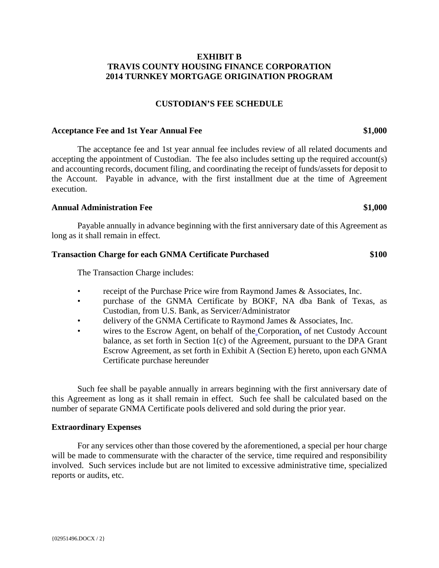#### **EXHIBIT B TRAVIS COUNTY HOUSING FINANCE CORPORATION 2014 TURNKEY MORTGAGE ORIGINATION PROGRAM**

#### **CUSTODIAN'S FEE SCHEDULE**

#### **Acceptance Fee and 1st Year Annual Fee \$1,000**

The acceptance fee and 1st year annual fee includes review of all related documents and accepting the appointment of Custodian. The fee also includes setting up the required account(s) and accounting records, document filing, and coordinating the receipt of funds/assets for deposit to the Account. Payable in advance, with the first installment due at the time of Agreement execution.

#### **Annual Administration Fee \$1,000**

Payable annually in advance beginning with the first anniversary date of this Agreement as long as it shall remain in effect.

#### **Transaction Charge for each GNMA Certificate Purchased \$100**

The Transaction Charge includes:

- receipt of the Purchase Price wire from Raymond James & Associates, Inc.
- purchase of the GNMA Certificate by BOKF, NA dba Bank of Texas, as Custodian, from U.S. Bank, as Servicer/Administrator
- delivery of the GNMA Certificate to Raymond James & Associates, Inc.
- wires to the Escrow Agent, on behalf of the Corporation, of net Custody Account balance, as set forth in Section 1(c) of the Agreement, pursuant to the DPA Grant Escrow Agreement, as set forth in Exhibit A (Section E) hereto, upon each GNMA Certificate purchase hereunder

Such fee shall be payable annually in arrears beginning with the first anniversary date of this Agreement as long as it shall remain in effect. Such fee shall be calculated based on the number of separate GNMA Certificate pools delivered and sold during the prior year.

#### **Extraordinary Expenses**

For any services other than those covered by the aforementioned, a special per hour charge will be made to commensurate with the character of the service, time required and responsibility involved. Such services include but are not limited to excessive administrative time, specialized reports or audits, etc.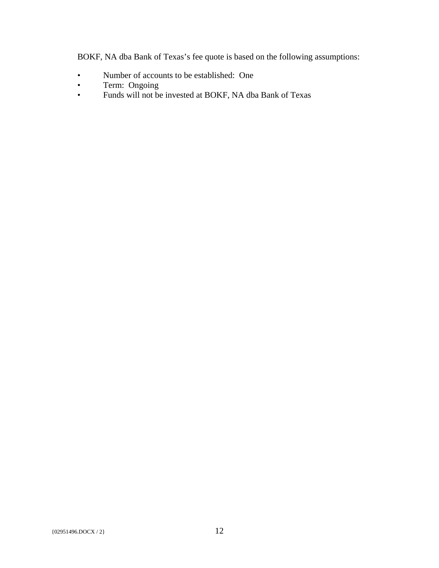BOKF, NA dba Bank of Texas's fee quote is based on the following assumptions:

- Number of accounts to be established: One
- Term: Ongoing
- Funds will not be invested at BOKF, NA dba Bank of Texas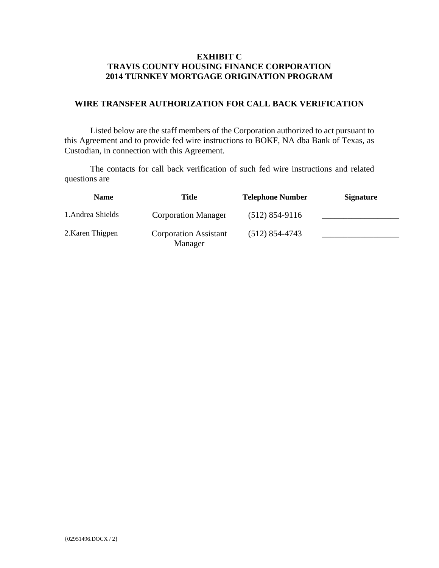#### **EXHIBIT C TRAVIS COUNTY HOUSING FINANCE CORPORATION 2014 TURNKEY MORTGAGE ORIGINATION PROGRAM**

#### **WIRE TRANSFER AUTHORIZATION FOR CALL BACK VERIFICATION**

Listed below are the staff members of the Corporation authorized to act pursuant to this Agreement and to provide fed wire instructions to BOKF, NA dba Bank of Texas, as Custodian, in connection with this Agreement.

The contacts for call back verification of such fed wire instructions and related questions are

| <b>Name</b>       | <b>Title</b>                            | <b>Telephone Number</b> | <b>Signature</b> |
|-------------------|-----------------------------------------|-------------------------|------------------|
| 1. Andrea Shields | <b>Corporation Manager</b>              | $(512) 854-9116$        |                  |
| 2. Karen Thigpen  | <b>Corporation Assistant</b><br>Manager | $(512)$ 854-4743        |                  |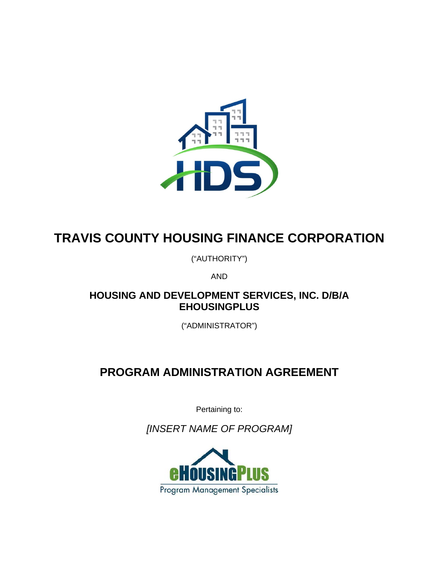

# **TRAVIS COUNTY HOUSING FINANCE CORPORATION**

("AUTHORITY")

AND

# **HOUSING AND DEVELOPMENT SERVICES, INC. D/B/A EHOUSINGPLUS**

("ADMINISTRATOR")

# **PROGRAM ADMINISTRATION AGREEMENT**

Pertaining to:

*[INSERT NAME OF PROGRAM]* 

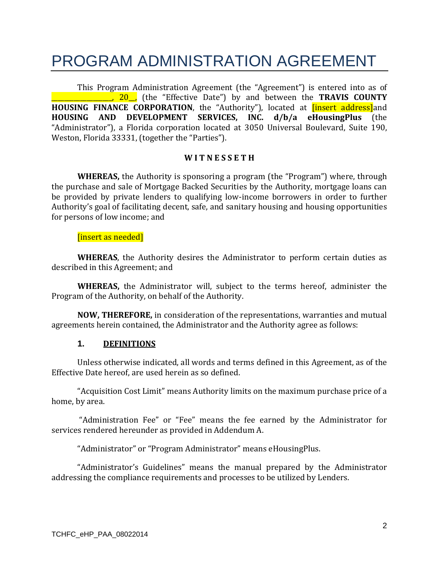# PROGRAM ADMINISTRATION AGREEMENT

This Program Administration Agreement (the "Agreement") is entered into as of \_\_\_\_\_\_\_\_\_\_\_\_\_\_\_\_\_\_\_, 20\_\_, (the "Effective Date") by and between the **TRAVIS COUNTY HOUSING** FINANCE CORPORATION, the "Authority"), located at **[insert address]**and **HOUSING AND DEVELOPMENT SERVICES, INC. d/b/a eHousingPlus** (the "Administrator"), a Florida corporation located at 3050 Universal Boulevard, Suite 190, Weston, Florida 33331, (together the "Parties").

#### **W I T N E S S E T H**

**WHEREAS,** the Authority is sponsoring a program (the "Program") where, through the purchase and sale of Mortgage Backed Securities by the Authority, mortgage loans can be provided by private lenders to qualifying low-income borrowers in order to further Authority's goal of facilitating decent, safe, and sanitary housing and housing opportunities for persons of low income; and

#### [insert as needed]

**WHEREAS**, the Authority desires the Administrator to perform certain duties as described in this Agreement; and

**WHEREAS**, the Administrator will, subject to the terms hereof, administer the Program of the Authority, on behalf of the Authority.

**NOW, THEREFORE,** in consideration of the representations, warranties and mutual agreements herein contained, the Administrator and the Authority agree as follows:

#### **1. DEFINITIONS**

Unless otherwise indicated, all words and terms defined in this Agreement, as of the Effective Date hereof, are used herein as so defined.

"Acquisition Cost Limit" means Authority limits on the maximum purchase price of a home, by area.

"Administration Fee" or "Fee" means the fee earned by the Administrator for services rendered hereunder as provided in Addendum A.

"Administrator" or "Program Administrator" means eHousingPlus.

"Administrator's Guidelines" means the manual prepared by the Administrator addressing the compliance requirements and processes to be utilized by Lenders.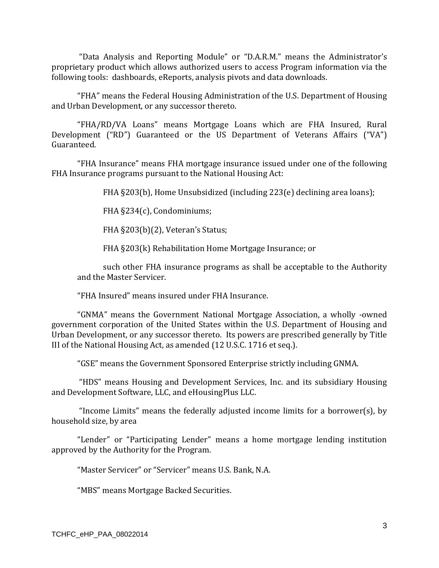"Data Analysis and Reporting Module" or "D.A.R.M." means the Administrator's proprietary product which allows authorized users to access Program information via the following tools: dashboards, eReports, analysis pivots and data downloads.

"FHA" means the Federal Housing Administration of the U.S. Department of Housing and Urban Development, or any successor thereto.

"FHA/RD/VA Loans" means Mortgage Loans which are FHA Insured, Rural Development ("RD") Guaranteed or the US Department of Veterans Affairs ("VA") Guaranteed. 

"FHA Insurance" means FHA mortgage insurance issued under one of the following FHA Insurance programs pursuant to the National Housing Act:

FHA  $\S203(b)$ , Home Unsubsidized (including 223(e) declining area loans);

FHA §234(c), Condominiums;

FHA §203(b)(2), Veteran's Status;

FHA §203(k) Rehabilitation Home Mortgage Insurance; or

such other FHA insurance programs as shall be acceptable to the Authority and the Master Servicer.

"FHA Insured" means insured under FHA Insurance.

"GNMA" means the Government National Mortgage Association, a wholly -owned government corporation of the United States within the U.S. Department of Housing and Urban Development, or any successor thereto. Its powers are prescribed generally by Title III of the National Housing Act, as amended (12 U.S.C. 1716 et seq.).

"GSE" means the Government Sponsored Enterprise strictly including GNMA.

"HDS" means Housing and Development Services, Inc. and its subsidiary Housing and Development Software, LLC, and eHousingPlus LLC.

"Income Limits" means the federally adjusted income limits for a borrower(s), by household size, by area

"Lender" or "Participating Lender" means a home mortgage lending institution approved by the Authority for the Program.

"Master Servicer" or "Servicer" means U.S. Bank, N.A.

"MBS" means Mortgage Backed Securities.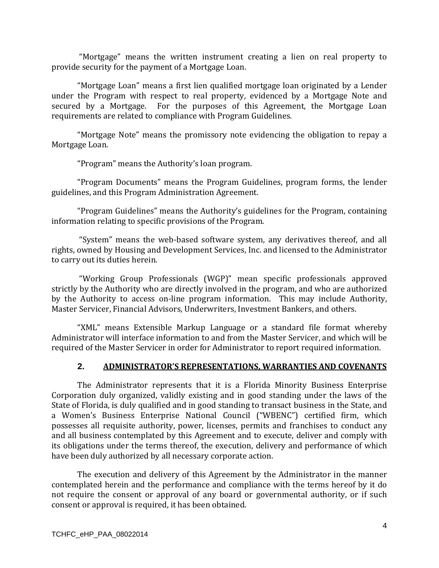"Mortgage" means the written instrument creating a lien on real property to provide security for the payment of a Mortgage Loan.

"Mortgage Loan" means a first lien qualified mortgage loan originated by a Lender under the Program with respect to real property, evidenced by a Mortgage Note and secured by a Mortgage. For the purposes of this Agreement, the Mortgage Loan requirements are related to compliance with Program Guidelines.

"Mortgage Note" means the promissory note evidencing the obligation to repay a Mortgage Loan.

"Program" means the Authority's loan program.

"Program Documents" means the Program Guidelines, program forms, the lender guidelines, and this Program Administration Agreement.

"Program Guidelines" means the Authority's guidelines for the Program, containing information relating to specific provisions of the Program.

"System" means the web-based software system, any derivatives thereof, and all rights, owned by Housing and Development Services, Inc. and licensed to the Administrator to carry out its duties herein.

"Working Group Professionals (WGP)" mean specific professionals approved strictly by the Authority who are directly involved in the program, and who are authorized by the Authority to access on-line program information. This may include Authority, Master Servicer, Financial Advisors, Underwriters, Investment Bankers, and others.

"XML" means Extensible Markup Language or a standard file format whereby Administrator will interface information to and from the Master Servicer, and which will be required of the Master Servicer in order for Administrator to report required information.

### **2. ADMINISTRATOR'S REPRESENTATIONS, WARRANTIES AND COVENANTS**

The Administrator represents that it is a Florida Minority Business Enterprise Corporation duly organized, validly existing and in good standing under the laws of the State of Florida, is duly qualified and in good standing to transact business in the State, and a Women's Business Enterprise National Council ("WBENC") certified firm, which possesses all requisite authority, power, licenses, permits and franchises to conduct any and all business contemplated by this Agreement and to execute, deliver and comply with its obligations under the terms thereof, the execution, delivery and performance of which have been duly authorized by all necessary corporate action.

The execution and delivery of this Agreement by the Administrator in the manner contemplated herein and the performance and compliance with the terms hereof by it do not require the consent or approval of any board or governmental authority, or if such consent or approval is required, it has been obtained.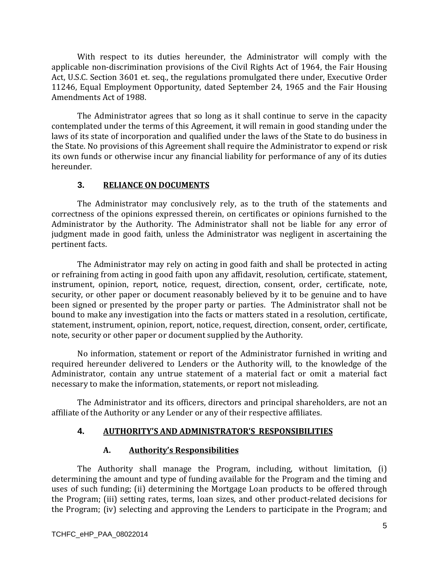With respect to its duties hereunder, the Administrator will comply with the applicable non-discrimination provisions of the Civil Rights Act of 1964, the Fair Housing Act, U.S.C. Section 3601 et. seq., the regulations promulgated there under, Executive Order 11246, Equal Employment Opportunity, dated September 24, 1965 and the Fair Housing Amendments Act of 1988.

The Administrator agrees that so long as it shall continue to serve in the capacity contemplated under the terms of this Agreement, it will remain in good standing under the laws of its state of incorporation and qualified under the laws of the State to do business in the State. No provisions of this Agreement shall require the Administrator to expend or risk its own funds or otherwise incur any financial liability for performance of any of its duties hereunder. 

# **3. RELIANCE ON DOCUMENTS**

The Administrator may conclusively rely, as to the truth of the statements and correctness of the opinions expressed therein, on certificates or opinions furnished to the Administrator by the Authority. The Administrator shall not be liable for any error of judgment made in good faith, unless the Administrator was negligent in ascertaining the pertinent facts.

The Administrator may rely on acting in good faith and shall be protected in acting or refraining from acting in good faith upon any affidavit, resolution, certificate, statement, instrument, opinion, report, notice, request, direction, consent, order, certificate, note, security, or other paper or document reasonably believed by it to be genuine and to have been signed or presented by the proper party or parties. The Administrator shall not be bound to make any investigation into the facts or matters stated in a resolution, certificate, statement, instrument, opinion, report, notice, request, direction, consent, order, certificate, note, security or other paper or document supplied by the Authority.

No information, statement or report of the Administrator furnished in writing and required hereunder delivered to Lenders or the Authority will, to the knowledge of the Administrator, contain any untrue statement of a material fact or omit a material fact necessary to make the information, statements, or report not misleading.

The Administrator and its officers, directors and principal shareholders, are not an affiliate of the Authority or any Lender or any of their respective affiliates.

# **4. AUTHORITY'S AND ADMINISTRATOR'S RESPONSIBILITIES**

### **A. Authority's Responsibilities**

The Authority shall manage the Program, including, without limitation, (i) determining the amount and type of funding available for the Program and the timing and uses of such funding; (ii) determining the Mortgage Loan products to be offered through the Program; (iii) setting rates, terms, loan sizes, and other product-related decisions for the Program; (iv) selecting and approving the Lenders to participate in the Program; and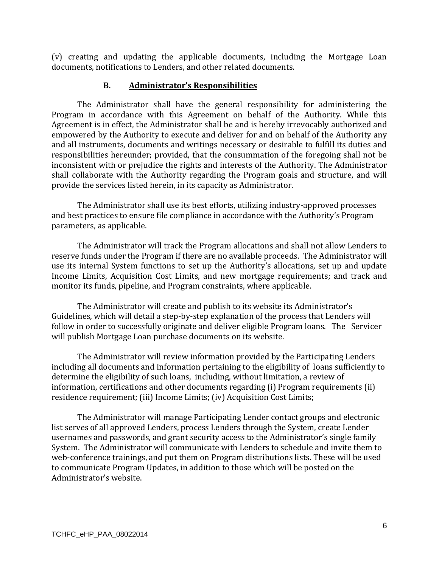(v) creating and updating the applicable documents, including the Mortgage Loan documents, notifications to Lenders, and other related documents.

# **B. Administrator's Responsibilities**

The Administrator shall have the general responsibility for administering the Program in accordance with this Agreement on behalf of the Authority. While this Agreement is in effect, the Administrator shall be and is hereby irrevocably authorized and empowered by the Authority to execute and deliver for and on behalf of the Authority any and all instruments, documents and writings necessary or desirable to fulfill its duties and responsibilities hereunder; provided, that the consummation of the foregoing shall not be inconsistent with or prejudice the rights and interests of the Authority. The Administrator shall collaborate with the Authority regarding the Program goals and structure, and will provide the services listed herein, in its capacity as Administrator.

The Administrator shall use its best efforts, utilizing industry-approved processes and best practices to ensure file compliance in accordance with the Authority's Program parameters, as applicable.

The Administrator will track the Program allocations and shall not allow Lenders to reserve funds under the Program if there are no available proceeds. The Administrator will use its internal System functions to set up the Authority's allocations, set up and update Income Limits, Acquisition Cost Limits, and new mortgage requirements; and track and monitor its funds, pipeline, and Program constraints, where applicable.

The Administrator will create and publish to its website its Administrator's Guidelines, which will detail a step-by-step explanation of the process that Lenders will follow in order to successfully originate and deliver eligible Program loans. The Servicer will publish Mortgage Loan purchase documents on its website.

The Administrator will review information provided by the Participating Lenders including all documents and information pertaining to the eligibility of loans sufficiently to determine the eligibility of such loans, including, without limitation, a review of information, certifications and other documents regarding (i) Program requirements (ii) residence requirement; (iii) Income Limits; (iv) Acquisition Cost Limits;

The Administrator will manage Participating Lender contact groups and electronic list serves of all approved Lenders, process Lenders through the System, create Lender usernames and passwords, and grant security access to the Administrator's single family System. The Administrator will communicate with Lenders to schedule and invite them to web-conference trainings, and put them on Program distributions lists. These will be used to communicate Program Updates, in addition to those which will be posted on the Administrator's website.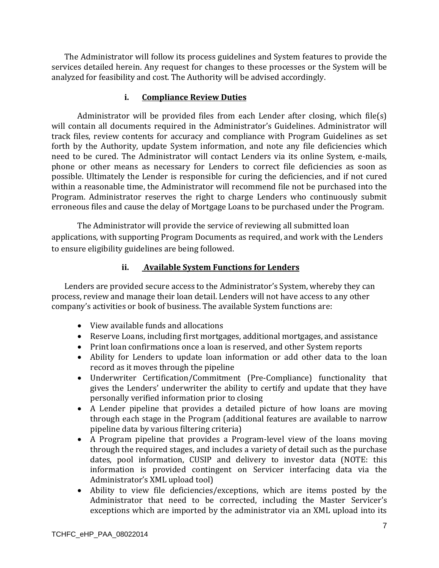The Administrator will follow its process guidelines and System features to provide the services detailed herein. Any request for changes to these processes or the System will be analyzed for feasibility and cost. The Authority will be advised accordingly.

# **i. Compliance Review Duties**

Administrator will be provided files from each Lender after closing, which file(s) will contain all documents required in the Administrator's Guidelines. Administrator will track files, review contents for accuracy and compliance with Program Guidelines as set forth by the Authority, update System information, and note any file deficiencies which need to be cured. The Administrator will contact Lenders via its online System, e-mails, phone or other means as necessary for Lenders to correct file deficiencies as soon as possible. Ultimately the Lender is responsible for curing the deficiencies, and if not cured within a reasonable time, the Administrator will recommend file not be purchased into the Program. Administrator reserves the right to charge Lenders who continuously submit erroneous files and cause the delay of Mortgage Loans to be purchased under the Program.

The Administrator will provide the service of reviewing all submitted loan applications, with supporting Program Documents as required, and work with the Lenders to ensure eligibility guidelines are being followed.

# **ii. Available System Functions for Lenders**

Lenders are provided secure access to the Administrator's System, whereby they can process, review and manage their loan detail. Lenders will not have access to any other company's activities or book of business. The available System functions are:

- View available funds and allocations
- Reserve Loans, including first mortgages, additional mortgages, and assistance
- Print loan confirmations once a loan is reserved, and other System reports
- Ability for Lenders to update loan information or add other data to the loan record as it moves through the pipeline
- Underwriter Certification/Commitment (Pre-Compliance) functionality that gives the Lenders' underwriter the ability to certify and update that they have personally verified information prior to closing
- A Lender pipeline that provides a detailed picture of how loans are moving through each stage in the Program (additional features are available to narrow pipeline data by various filtering criteria)
- A Program pipeline that provides a Program-level view of the loans moving through the required stages, and includes a variety of detail such as the purchase dates, pool information, CUSIP and delivery to investor data (NOTE: this information is provided contingent on Servicer interfacing data via the Administrator's XML upload tool)
- Ability to view file deficiencies/exceptions, which are items posted by the Administrator that need to be corrected, including the Master Servicer's exceptions which are imported by the administrator via an XML upload into its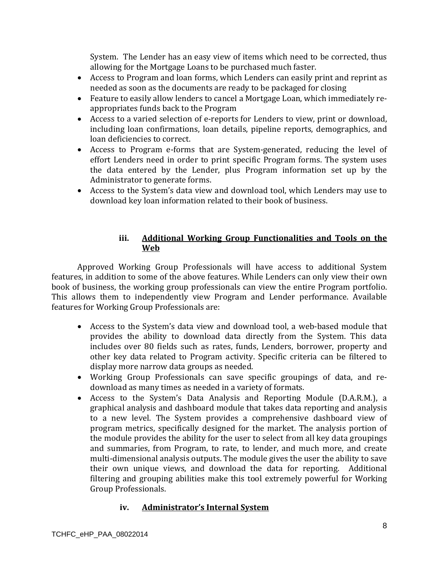System. The Lender has an easy view of items which need to be corrected, thus allowing for the Mortgage Loans to be purchased much faster.

- Access to Program and loan forms, which Lenders can easily print and reprint as needed as soon as the documents are ready to be packaged for closing
- Feature to easily allow lenders to cancel a Mortgage Loan, which immediately reappropriates funds back to the Program
- Access to a varied selection of e-reports for Lenders to view, print or download, including loan confirmations, loan details, pipeline reports, demographics, and loan deficiencies to correct.
- Access to Program e-forms that are System-generated, reducing the level of effort Lenders need in order to print specific Program forms. The system uses the data entered by the Lender, plus Program information set up by the Administrator to generate forms.
- Access to the System's data view and download tool, which Lenders may use to download key loan information related to their book of business.

# **iii. Additional Working Group Functionalities and Tools on the Web**

Approved Working Group Professionals will have access to additional System features, in addition to some of the above features. While Lenders can only view their own book of business, the working group professionals can view the entire Program portfolio. This allows them to independently view Program and Lender performance. Available features for Working Group Professionals are:

- Access to the System's data view and download tool, a web-based module that provides the ability to download data directly from the System. This data includes over 80 fields such as rates, funds, Lenders, borrower, property and other key data related to Program activity. Specific criteria can be filtered to display more narrow data groups as needed.
- Working Group Professionals can save specific groupings of data, and redownload as many times as needed in a variety of formats.
- Access to the System's Data Analysis and Reporting Module (D.A.R.M.), a graphical analysis and dashboard module that takes data reporting and analysis to a new level. The System provides a comprehensive dashboard view of program metrics, specifically designed for the market. The analysis portion of the module provides the ability for the user to select from all key data groupings and summaries, from Program, to rate, to lender, and much more, and create multi-dimensional analysis outputs. The module gives the user the ability to save their own unique views, and download the data for reporting. Additional filtering and grouping abilities make this tool extremely powerful for Working Group Professionals.

# **iv. Administrator's Internal System**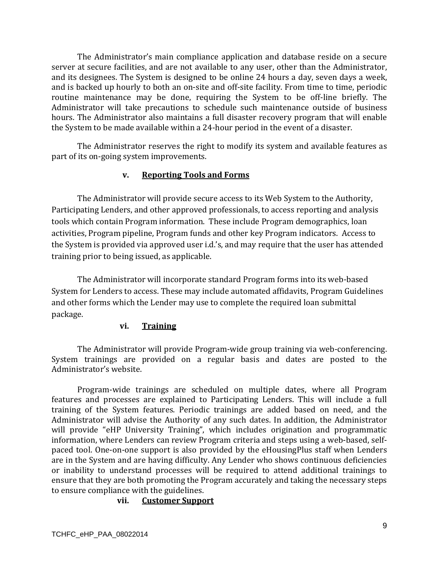The Administrator's main compliance application and database reside on a secure server at secure facilities, and are not available to any user, other than the Administrator, and its designees. The System is designed to be online 24 hours a day, seven days a week, and is backed up hourly to both an on-site and off-site facility. From time to time, periodic routine maintenance may be done, requiring the System to be off-line briefly. The Administrator will take precautions to schedule such maintenance outside of business hours. The Administrator also maintains a full disaster recovery program that will enable the System to be made available within a 24-hour period in the event of a disaster.

The Administrator reserves the right to modify its system and available features as part of its on-going system improvements.

# **v. Reporting Tools and Forms**

The Administrator will provide secure access to its Web System to the Authority, Participating Lenders, and other approved professionals, to access reporting and analysis tools which contain Program information. These include Program demographics, loan activities, Program pipeline, Program funds and other key Program indicators. Access to the System is provided via approved user i.d.'s, and may require that the user has attended training prior to being issued, as applicable.

The Administrator will incorporate standard Program forms into its web-based System for Lenders to access. These may include automated affidavits, Program Guidelines and other forms which the Lender may use to complete the required loan submittal package. 

### **vi. Training**

The Administrator will provide Program-wide group training via web-conferencing. System trainings are provided on a regular basis and dates are posted to the Administrator's website.

Program-wide trainings are scheduled on multiple dates, where all Program features and processes are explained to Participating Lenders. This will include a full training of the System features. Periodic trainings are added based on need, and the Administrator will advise the Authority of any such dates. In addition, the Administrator will provide "eHP University Training", which includes origination and programmatic information, where Lenders can review Program criteria and steps using a web-based, selfpaced tool. One-on-one support is also provided by the eHousingPlus staff when Lenders are in the System and are having difficulty. Any Lender who shows continuous deficiencies or inability to understand processes will be required to attend additional trainings to ensure that they are both promoting the Program accurately and taking the necessary steps to ensure compliance with the guidelines.

# **vii. Customer Support**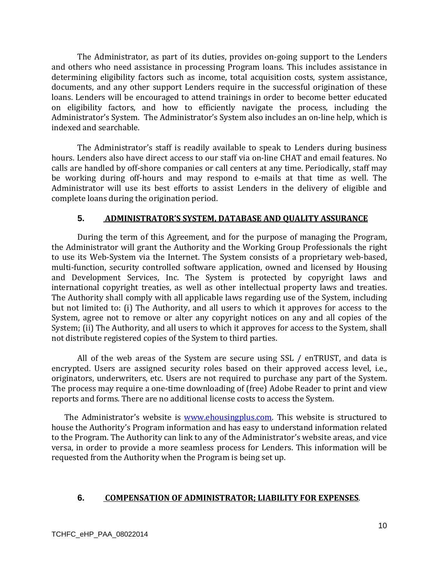The Administrator, as part of its duties, provides on-going support to the Lenders and others who need assistance in processing Program loans. This includes assistance in determining eligibility factors such as income, total acquisition costs, system assistance, documents, and any other support Lenders require in the successful origination of these loans. Lenders will be encouraged to attend trainings in order to become better educated on eligibility factors, and how to efficiently navigate the process, including the Administrator's System. The Administrator's System also includes an on-line help, which is indexed and searchable. 

The Administrator's staff is readily available to speak to Lenders during business hours. Lenders also have direct access to our staff via on-line CHAT and email features. No calls are handled by off-shore companies or call centers at any time. Periodically, staff may be working during off-hours and may respond to e-mails at that time as well. The Administrator will use its best efforts to assist Lenders in the delivery of eligible and complete loans during the origination period.

#### **5. ADMINISTRATOR'S SYSTEM, DATABASE AND QUALITY ASSURANCE**

During the term of this Agreement, and for the purpose of managing the Program, the Administrator will grant the Authority and the Working Group Professionals the right to use its Web-System via the Internet. The System consists of a proprietary web-based, multi-function, security controlled software application, owned and licensed by Housing and Development Services, Inc. The System is protected by copyright laws and international copyright treaties, as well as other intellectual property laws and treaties. The Authority shall comply with all applicable laws regarding use of the System, including but not limited to: (i) The Authority, and all users to which it approves for access to the System, agree not to remove or alter any copyright notices on any and all copies of the System; (ii) The Authority, and all users to which it approves for access to the System, shall not distribute registered copies of the System to third parties.

All of the web areas of the System are secure using  $SSL / enTRUST$ , and data is encrypted. Users are assigned security roles based on their approved access level, i.e., originators, underwriters, etc. Users are not required to purchase any part of the System. The process may require a one-time downloading of (free) Adobe Reader to print and view reports and forms. There are no additional license costs to access the System.

The Administrator's website is www.ehousingplus.com. This website is structured to house the Authority's Program information and has easy to understand information related to the Program. The Authority can link to any of the Administrator's website areas, and vice versa, in order to provide a more seamless process for Lenders. This information will be requested from the Authority when the Program is being set up.

#### **6. COMPENSATION OF ADMINISTRATOR; LIABILITY FOR EXPENSES**.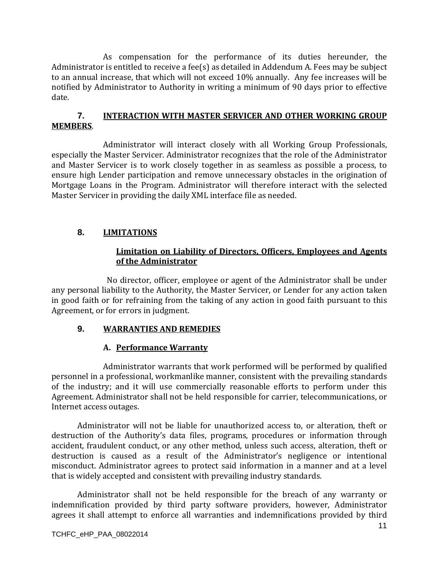As compensation for the performance of its duties hereunder, the Administrator is entitled to receive a fee(s) as detailed in Addendum A. Fees may be subject to an annual increase, that which will not exceed 10% annually. Any fee increases will be notified by Administrator to Authority in writing a minimum of 90 days prior to effective date. 

# **7. INTERACTION WITH MASTER SERVICER AND OTHER WORKING GROUP MEMBERS**.

Administrator will interact closely with all Working Group Professionals, especially the Master Servicer. Administrator recognizes that the role of the Administrator and Master Servicer is to work closely together in as seamless as possible a process, to ensure high Lender participation and remove unnecessary obstacles in the origination of Mortgage Loans in the Program. Administrator will therefore interact with the selected Master Servicer in providing the daily XML interface file as needed.

# **8. LIMITATIONS**

### **Limitation on Liability of Directors, Officers, Employees and Agents of the Administrator**

No director, officer, employee or agent of the Administrator shall be under any personal liability to the Authority, the Master Servicer, or Lender for any action taken in good faith or for refraining from the taking of any action in good faith pursuant to this Agreement, or for errors in judgment.

# **9. WARRANTIES AND REMEDIES**

# **A. Performance Warranty**

Administrator warrants that work performed will be performed by qualified personnel in a professional, workmanlike manner, consistent with the prevailing standards of the industry; and it will use commercially reasonable efforts to perform under this Agreement. Administrator shall not be held responsible for carrier, telecommunications, or Internet access outages.

Administrator will not be liable for unauthorized access to, or alteration, theft or destruction of the Authority's data files, programs, procedures or information through accident, fraudulent conduct, or any other method, unless such access, alteration, theft or destruction is caused as a result of the Administrator's negligence or intentional misconduct. Administrator agrees to protect said information in a manner and at a level that is widely accepted and consistent with prevailing industry standards.

Administrator shall not be held responsible for the breach of any warranty or indemnification provided by third party software providers, however, Administrator agrees it shall attempt to enforce all warranties and indemnifications provided by third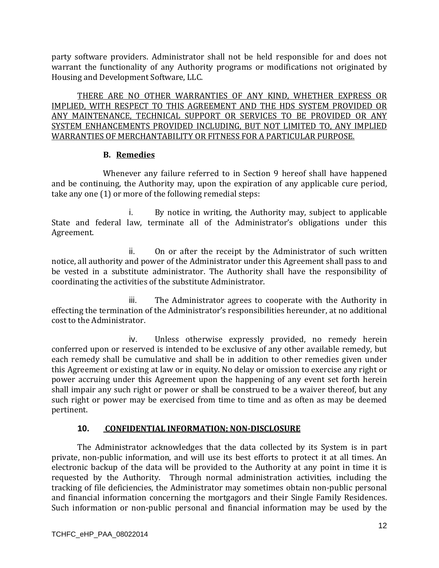party software providers. Administrator shall not be held responsible for and does not warrant the functionality of any Authority programs or modifications not originated by Housing and Development Software, LLC.

THERE ARE NO OTHER WARRANTIES OF ANY KIND, WHETHER EXPRESS OR IMPLIED, WITH RESPECT TO THIS AGREEMENT AND THE HDS SYSTEM PROVIDED OR ANY MAINTENANCE, TECHNICAL SUPPORT OR SERVICES TO BE PROVIDED OR ANY SYSTEM ENHANCEMENTS PROVIDED INCLUDING, BUT NOT LIMITED TO, ANY IMPLIED WARRANTIES OF MERCHANTABILITY OR FITNESS FOR A PARTICULAR PURPOSE.

# **B. Remedies**

Whenever any failure referred to in Section 9 hereof shall have happened and be continuing, the Authority may, upon the expiration of any applicable cure period, take any one  $(1)$  or more of the following remedial steps:

i. By notice in writing, the Authority may, subject to applicable State and federal law, terminate all of the Administrator's obligations under this Agreement. 

ii. On or after the receipt by the Administrator of such written notice, all authority and power of the Administrator under this Agreement shall pass to and be vested in a substitute administrator. The Authority shall have the responsibility of coordinating the activities of the substitute Administrator.

iii. The Administrator agrees to cooperate with the Authority in effecting the termination of the Administrator's responsibilities hereunder, at no additional cost to the Administrator.

iv. Unless otherwise expressly provided, no remedy herein conferred upon or reserved is intended to be exclusive of any other available remedy, but each remedy shall be cumulative and shall be in addition to other remedies given under this Agreement or existing at law or in equity. No delay or omission to exercise any right or power accruing under this Agreement upon the happening of any event set forth herein shall impair any such right or power or shall be construed to be a waiver thereof, but any such right or power may be exercised from time to time and as often as may be deemed pertinent. 

# **10. CONFIDENTIAL INFORMATION; NON‐DISCLOSURE**

The Administrator acknowledges that the data collected by its System is in part private, non-public information, and will use its best efforts to protect it at all times. An electronic backup of the data will be provided to the Authority at any point in time it is requested by the Authority. Through normal administration activities, including the tracking of file deficiencies, the Administrator may sometimes obtain non-public personal and financial information concerning the mortgagors and their Single Family Residences. Such information or non-public personal and financial information may be used by the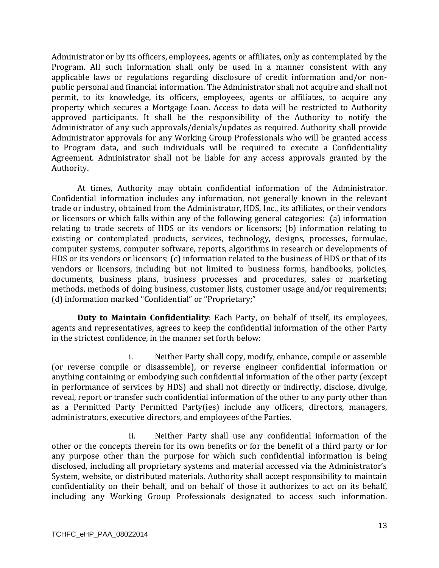Administrator or by its officers, employees, agents or affiliates, only as contemplated by the Program. All such information shall only be used in a manner consistent with any applicable laws or regulations regarding disclosure of credit information and/or nonpublic personal and financial information. The Administrator shall not acquire and shall not permit, to its knowledge, its officers, employees, agents or affiliates, to acquire any property which secures a Mortgage Loan. Access to data will be restricted to Authority approved participants. It shall be the responsibility of the Authority to notify the Administrator of any such approvals/denials/updates as required. Authority shall provide Administrator approvals for any Working Group Professionals who will be granted access to Program data, and such individuals will be required to execute a Confidentiality Agreement. Administrator shall not be liable for any access approvals granted by the Authority. 

At times, Authority may obtain confidential information of the Administrator. Confidential information includes any information, not generally known in the relevant trade or industry, obtained from the Administrator, HDS, Inc., its affiliates, or their vendors or licensors or which falls within any of the following general categories: (a) information relating to trade secrets of HDS or its vendors or licensors;  $(b)$  information relating to existing or contemplated products, services, technology, designs, processes, formulae, computer systems, computer software, reports, algorithms in research or developments of HDS or its vendors or licensors; (c) information related to the business of HDS or that of its vendors or licensors, including but not limited to business forms, handbooks, policies, documents, business plans, business processes and procedures, sales or marketing methods, methods of doing business, customer lists, customer usage and/or requirements; (d) information marked "Confidential" or "Proprietary;"

**Duty to Maintain Confidentiality**: Each Party, on behalf of itself, its employees, agents and representatives, agrees to keep the confidential information of the other Party in the strictest confidence, in the manner set forth below:

i. Neither Party shall copy, modify, enhance, compile or assemble (or reverse compile or disassemble), or reverse engineer confidential information or anything containing or embodying such confidential information of the other party (except in performance of services by HDS) and shall not directly or indirectly, disclose, divulge, reveal, report or transfer such confidential information of the other to any party other than as a Permitted Party Permitted Party(ies) include any officers, directors, managers, administrators, executive directors, and employees of the Parties.

ii. Neither Party shall use any confidential information of the other or the concepts therein for its own benefits or for the benefit of a third party or for any purpose other than the purpose for which such confidential information is being disclosed, including all proprietary systems and material accessed via the Administrator's System, website, or distributed materials. Authority shall accept responsibility to maintain confidentiality on their behalf, and on behalf of those it authorizes to act on its behalf, including any Working Group Professionals designated to access such information.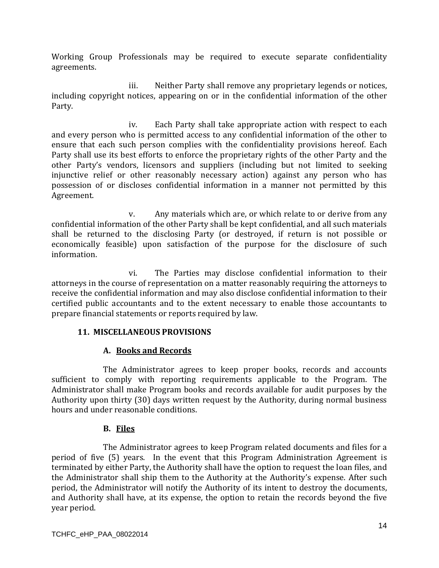Working Group Professionals may be required to execute separate confidentiality agreements. 

iii. Neither Party shall remove any proprietary legends or notices, including copyright notices, appearing on or in the confidential information of the other Party. 

iv. Each Party shall take appropriate action with respect to each and every person who is permitted access to any confidential information of the other to ensure that each such person complies with the confidentiality provisions hereof. Each Party shall use its best efforts to enforce the proprietary rights of the other Party and the other Party's vendors, licensors and suppliers (including but not limited to seeking injunctive relief or other reasonably necessary action) against any person who has possession of or discloses confidential information in a manner not permitted by this Agreement. 

v. Any materials which are, or which relate to or derive from any confidential information of the other Party shall be kept confidential, and all such materials shall be returned to the disclosing Party (or destroyed, if return is not possible or economically feasible) upon satisfaction of the purpose for the disclosure of such information. 

vi. The Parties may disclose confidential information to their attorneys in the course of representation on a matter reasonably requiring the attorneys to receive the confidential information and may also disclose confidential information to their certified public accountants and to the extent necessary to enable those accountants to prepare financial statements or reports required by law.

### **11. MISCELLANEOUS PROVISIONS**

# **A. Books and Records**

The Administrator agrees to keep proper books, records and accounts sufficient to comply with reporting requirements applicable to the Program. The Administrator shall make Program books and records available for audit purposes by the Authority upon thirty (30) days written request by the Authority, during normal business hours and under reasonable conditions.

### **B. Files**

The Administrator agrees to keep Program related documents and files for a period of five (5) years. In the event that this Program Administration Agreement is terminated by either Party, the Authority shall have the option to request the loan files, and the Administrator shall ship them to the Authority at the Authority's expense. After such period, the Administrator will notify the Authority of its intent to destroy the documents, and Authority shall have, at its expense, the option to retain the records beyond the five year period.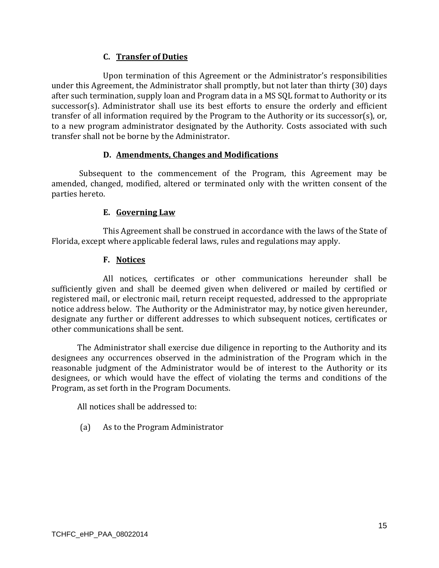# **C. Transfer of Duties**

Upon termination of this Agreement or the Administrator's responsibilities under this Agreement, the Administrator shall promptly, but not later than thirty (30) days after such termination, supply loan and Program data in a MS SOL format to Authority or its successor(s). Administrator shall use its best efforts to ensure the orderly and efficient transfer of all information required by the Program to the Authority or its successor(s), or, to a new program administrator designated by the Authority. Costs associated with such transfer shall not be borne by the Administrator.

### **D. Amendments, Changes and Modifications**

Subsequent to the commencement of the Program, this Agreement may be amended, changed, modified, altered or terminated only with the written consent of the parties hereto.

# **E. Governing Law**

This Agreement shall be construed in accordance with the laws of the State of Florida, except where applicable federal laws, rules and regulations may apply.

# **F. Notices**

All notices, certificates or other communications hereunder shall be sufficiently given and shall be deemed given when delivered or mailed by certified or registered mail, or electronic mail, return receipt requested, addressed to the appropriate notice address below. The Authority or the Administrator may, by notice given hereunder, designate any further or different addresses to which subsequent notices, certificates or other communications shall be sent.

The Administrator shall exercise due diligence in reporting to the Authority and its designees any occurrences observed in the administration of the Program which in the reasonable judgment of the Administrator would be of interest to the Authority or its designees, or which would have the effect of violating the terms and conditions of the Program, as set forth in the Program Documents.

All notices shall be addressed to:

(a) As to the Program Administrator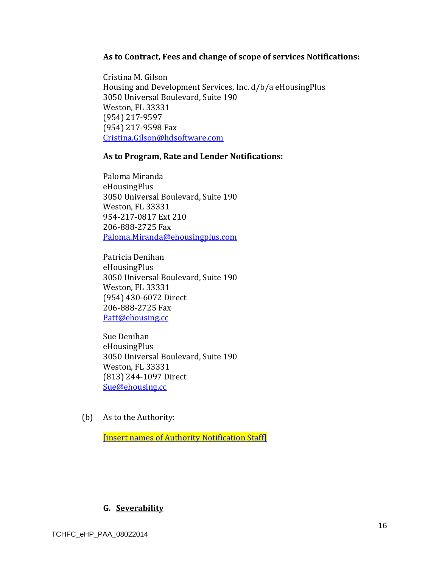#### **As to Contract, Fees and change of scope of services Notifications:**

Cristina M. Gilson Housing and Development Services, Inc. d/b/a eHousingPlus 3050 Universal Boulevard, Suite 190 Weston, FL 33331 (954) 217‐9597 (954) 217-9598 Fax Cristina.Gilson@hdsoftware.com

#### **As to Program, Rate and Lender Notifications:**

Paloma Miranda eHousingPlus 3050 Universal Boulevard, Suite 190 Weston, FL 33331 954‐217‐0817 Ext 210 206‐888‐2725 Fax Paloma.Miranda@ehousingplus.com 

Patricia Denihan eHousingPlus 3050 Universal Boulevard, Suite 190 Weston, FL 33331 (954) 430‐6072 Direct 206-888-2725 Fax Patt@ehousing.cc

Sue Denihan eHousingPlus 3050 Universal Boulevard, Suite 190 Weston, FL 33331 (813) 244‐1097 Direct Sue@ehousing.cc

(b) As to the Authority:

**[insert names of Authority Notification Staff]** 

# **G. Severability**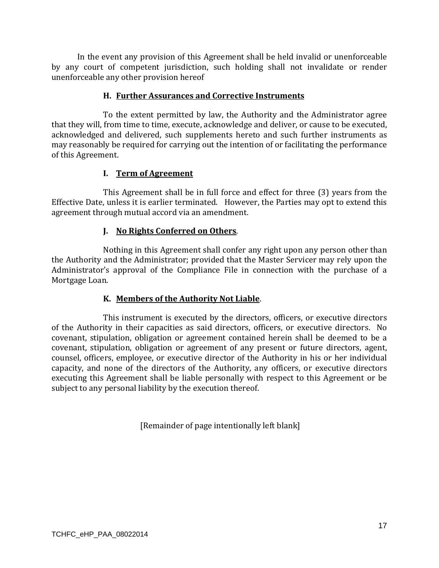In the event any provision of this Agreement shall be held invalid or unenforceable by any court of competent jurisdiction, such holding shall not invalidate or render unenforceable any other provision hereof

## **H. Further Assurances and Corrective Instruments**

To the extent permitted by law, the Authority and the Administrator agree that they will, from time to time, execute, acknowledge and deliver, or cause to be executed, acknowledged and delivered, such supplements hereto and such further instruments as may reasonably be required for carrying out the intention of or facilitating the performance of this Agreement.

# **I. Term of Agreement**

This Agreement shall be in full force and effect for three (3) years from the Effective Date, unless it is earlier terminated. However, the Parties may opt to extend this agreement through mutual accord via an amendment.

# **J. No Rights Conferred on Others**.

Nothing in this Agreement shall confer any right upon any person other than the Authority and the Administrator; provided that the Master Servicer may rely upon the Administrator's approval of the Compliance File in connection with the purchase of a Mortgage Loan.

# **K. Members of the Authority Not Liable**.

This instrument is executed by the directors, officers, or executive directors of the Authority in their capacities as said directors, officers, or executive directors. No covenant, stipulation, obligation or agreement contained herein shall be deemed to be a covenant, stipulation, obligation or agreement of any present or future directors, agent, counsel, officers, employee, or executive director of the Authority in his or her individual capacity, and none of the directors of the Authority, any officers, or executive directors executing this Agreement shall be liable personally with respect to this Agreement or be subject to any personal liability by the execution thereof.

[Remainder of page intentionally left blank]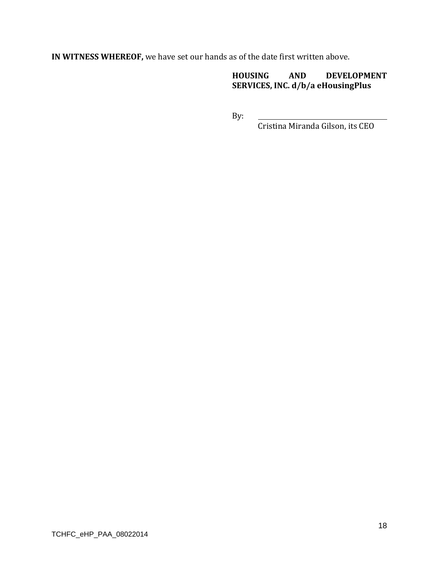**IN WITNESS WHEREOF,** we have set our hands as of the date first written above.

**HOUSING AND DEVELOPMENT SERVICES, INC. d/b/a eHousingPlus**

By: 

Cristina Miranda Gilson, its CEO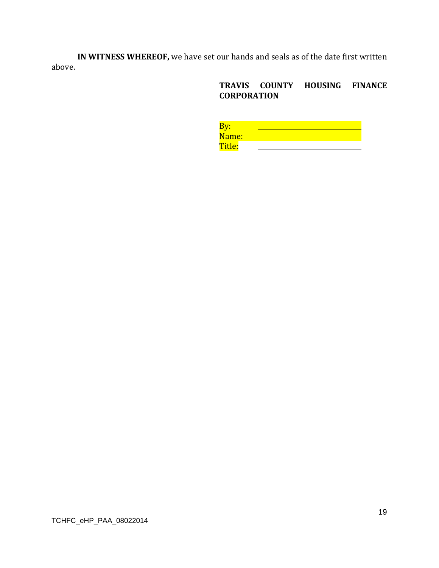**IN WITNESS WHEREOF,** we have set our hands and seals as of the date first written above. 

# **TRAVIS COUNTY HOUSING FINANCE CORPORATION**

| Name:  |  |  |  |
|--------|--|--|--|
| Title: |  |  |  |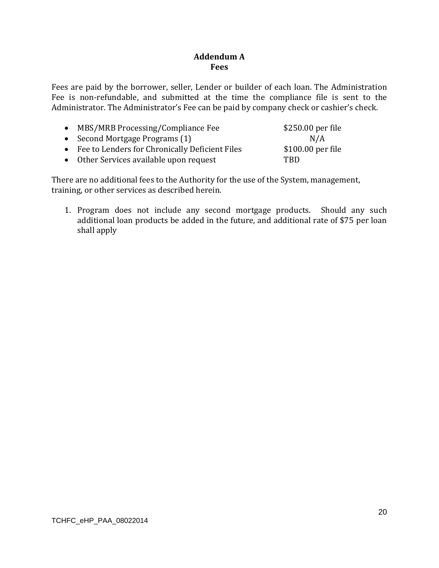# **Addendum A Fees**

Fees are paid by the borrower, seller, Lender or builder of each loan. The Administration Fee is non-refundable, and submitted at the time the compliance file is sent to the Administrator. The Administrator's Fee can be paid by company check or cashier's check.

| • MBS/MRB Processing/Compliance Fee              | \$250.00 per file  |
|--------------------------------------------------|--------------------|
| • Second Mortgage Programs $(1)$                 | N/A                |
| • Fee to Lenders for Chronically Deficient Files | $$100.00$ per file |
| • Other Services available upon request          | TRD.               |

There are no additional fees to the Authority for the use of the System, management, training, or other services as described herein.

1. Program does not include any second mortgage products. Should any such additional loan products be added in the future, and additional rate of \$75 per loan shall apply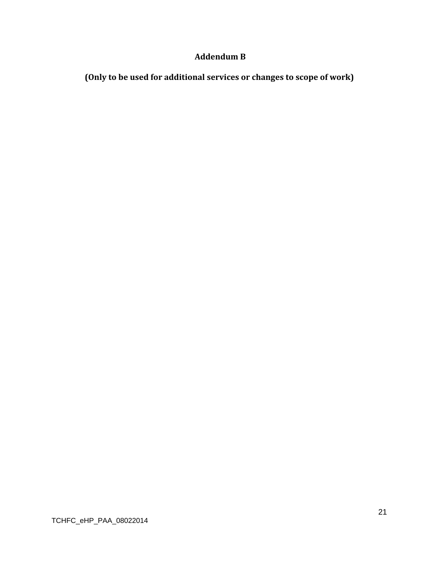# **Addendum B**

**(Only to be used for additional services or changes to scope of work)**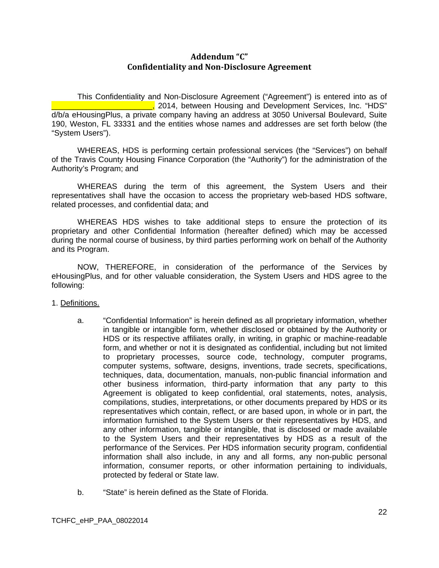## **Addendum "C" Confidentiality and Non‐Disclosure Agreement**

This Confidentiality and Non-Disclosure Agreement ("Agreement") is entered into as of L., 2014, between Housing and Development Services, Inc. "HDS" d/b/a eHousingPlus, a private company having an address at 3050 Universal Boulevard, Suite 190, Weston, FL 33331 and the entities whose names and addresses are set forth below (the "System Users").

WHEREAS, HDS is performing certain professional services (the "Services") on behalf of the Travis County Housing Finance Corporation (the "Authority") for the administration of the Authority's Program; and

WHEREAS during the term of this agreement, the System Users and their representatives shall have the occasion to access the proprietary web-based HDS software, related processes, and confidential data; and

WHEREAS HDS wishes to take additional steps to ensure the protection of its proprietary and other Confidential Information (hereafter defined) which may be accessed during the normal course of business, by third parties performing work on behalf of the Authority and its Program.

NOW, THEREFORE, in consideration of the performance of the Services by eHousingPlus, and for other valuable consideration, the System Users and HDS agree to the following:

1. Definitions.

- a. "Confidential Information" is herein defined as all proprietary information, whether in tangible or intangible form, whether disclosed or obtained by the Authority or HDS or its respective affiliates orally, in writing, in graphic or machine-readable form, and whether or not it is designated as confidential, including but not limited to proprietary processes, source code, technology, computer programs, computer systems, software, designs, inventions, trade secrets, specifications, techniques, data, documentation, manuals, non-public financial information and other business information, third-party information that any party to this Agreement is obligated to keep confidential, oral statements, notes, analysis, compilations, studies, interpretations, or other documents prepared by HDS or its representatives which contain, reflect, or are based upon, in whole or in part, the information furnished to the System Users or their representatives by HDS, and any other information, tangible or intangible, that is disclosed or made available to the System Users and their representatives by HDS as a result of the performance of the Services. Per HDS information security program, confidential information shall also include, in any and all forms, any non-public personal information, consumer reports, or other information pertaining to individuals, protected by federal or State law.
- b. "State" is herein defined as the State of Florida.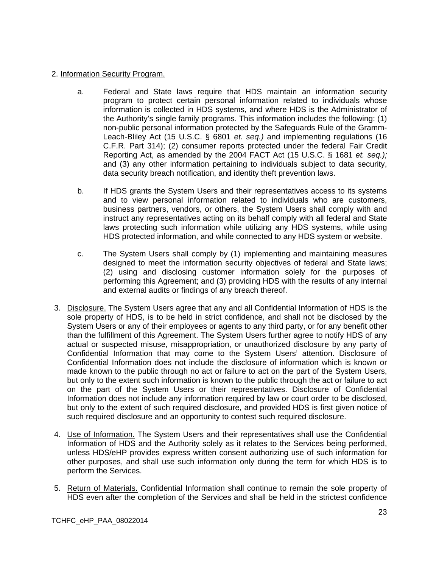### 2. Information Security Program.

- a. Federal and State laws require that HDS maintain an information security program to protect certain personal information related to individuals whose information is collected in HDS systems, and where HDS is the Administrator of the Authority's single family programs. This information includes the following: (1) non-public personal information protected by the Safeguards Rule of the Gramm-Leach-Bliley Act (15 U.S.C. § 6801 *et. seq.)* and implementing regulations (16 C.F.R. Part 314); (2) consumer reports protected under the federal Fair Credit Reporting Act, as amended by the 2004 FACT Act (15 U.S.C. § 1681 *et. seq.);*  and (3) any other information pertaining to individuals subject to data security, data security breach notification, and identity theft prevention laws.
- b. If HDS grants the System Users and their representatives access to its systems and to view personal information related to individuals who are customers, business partners, vendors, or others, the System Users shall comply with and instruct any representatives acting on its behalf comply with all federal and State laws protecting such information while utilizing any HDS systems, while using HDS protected information, and while connected to any HDS system or website.
- c. The System Users shall comply by (1) implementing and maintaining measures designed to meet the information security objectives of federal and State laws; (2) using and disclosing customer information solely for the purposes of performing this Agreement; and (3) providing HDS with the results of any internal and external audits or findings of any breach thereof.
- 3. Disclosure. The System Users agree that any and all Confidential Information of HDS is the sole property of HDS, is to be held in strict confidence, and shall not be disclosed by the System Users or any of their employees or agents to any third party, or for any benefit other than the fulfillment of this Agreement. The System Users further agree to notify HDS of any actual or suspected misuse, misappropriation, or unauthorized disclosure by any party of Confidential Information that may come to the System Users' attention. Disclosure of Confidential Information does not include the disclosure of information which is known or made known to the public through no act or failure to act on the part of the System Users, but only to the extent such information is known to the public through the act or failure to act on the part of the System Users or their representatives. Disclosure of Confidential Information does not include any information required by law or court order to be disclosed, but only to the extent of such required disclosure, and provided HDS is first given notice of such required disclosure and an opportunity to contest such required disclosure.
- 4. Use of Information. The System Users and their representatives shall use the Confidential Information of HDS and the Authority solely as it relates to the Services being performed, unless HDS/eHP provides express written consent authorizing use of such information for other purposes, and shall use such information only during the term for which HDS is to perform the Services.
- 5. Return of Materials. Confidential Information shall continue to remain the sole property of HDS even after the completion of the Services and shall be held in the strictest confidence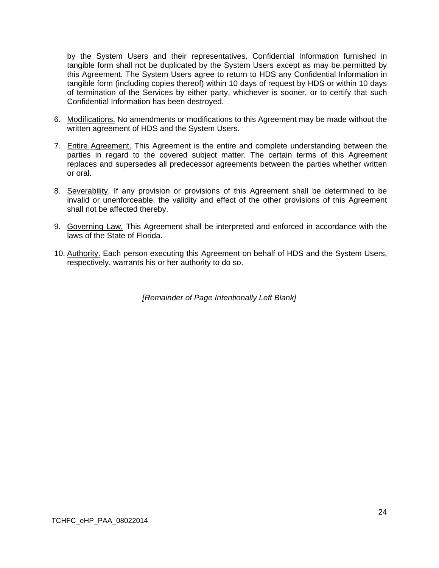by the System Users and their representatives. Confidential Information furnished in tangible form shall not be duplicated by the System Users except as may be permitted by this Agreement. The System Users agree to return to HDS any Confidential Information in tangible form (including copies thereof) within 10 days of request by HDS or within 10 days of termination of the Services by either party, whichever is sooner, or to certify that such Confidential Information has been destroyed.

- 6. Modifications. No amendments or modifications to this Agreement may be made without the written agreement of HDS and the System Users.
- 7. Entire Agreement. This Agreement is the entire and complete understanding between the parties in regard to the covered subject matter. The certain terms of this Agreement replaces and supersedes all predecessor agreements between the parties whether written or oral.
- 8. Severability. If any provision or provisions of this Agreement shall be determined to be invalid or unenforceable, the validity and effect of the other provisions of this Agreement shall not be affected thereby.
- 9. Governing Law. This Agreement shall be interpreted and enforced in accordance with the laws of the State of Florida.
- 10. Authority. Each person executing this Agreement on behalf of HDS and the System Users, respectively, warrants his or her authority to do so.

*[Remainder of Page Intentionally Left Blank]*